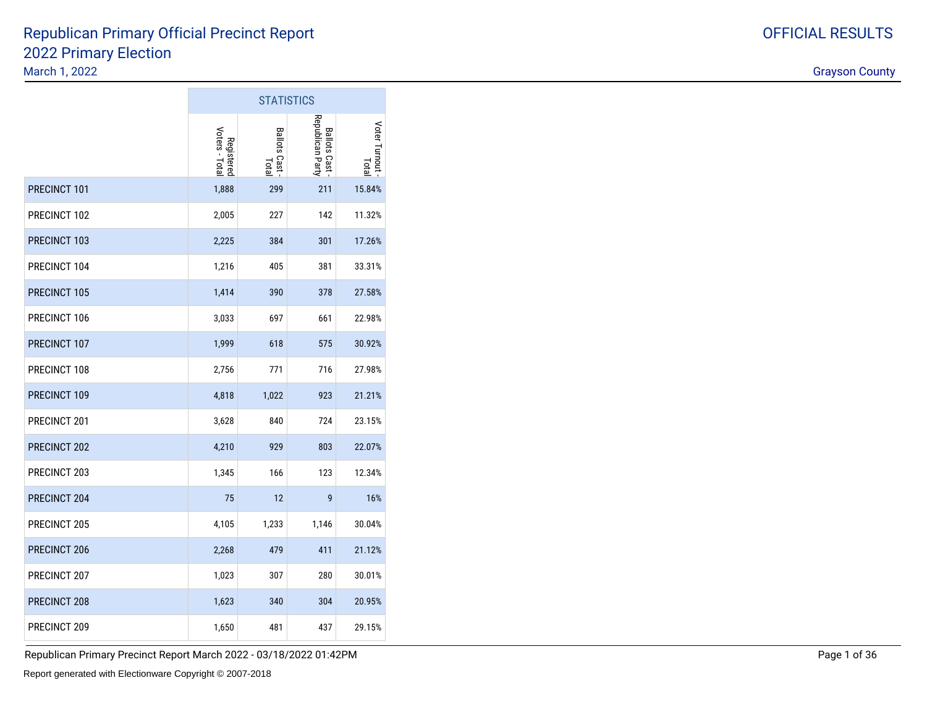#### 2022 Primary ElectionMarch 1, 2022discussion of the contract of the contract of the contract of the contract of the contract of the contract of the contract of the contract of the contract of the contract of the contract of the contract of the contract of Republican Primary Official Precinct Report

 $\sim$ 

|                     |                              | <b>STATISTICS</b>            |                                         |                        |
|---------------------|------------------------------|------------------------------|-----------------------------------------|------------------------|
|                     | Voters - Total<br>Registered | <b>Ballots Cast</b><br>Total | Republican Party<br><b>Ballots Cast</b> | Voter Turnout<br>Total |
| PRECINCT 101        | 1,888                        | 299                          | 211                                     | 15.84%                 |
| PRECINCT 102        | 2,005                        | 227                          | 142                                     | 11.32%                 |
| PRECINCT 103        | 2,225                        | 384                          | 301                                     | 17.26%                 |
| PRECINCT 104        | 1,216                        | 405                          | 381                                     | 33.31%                 |
| <b>PRECINCT 105</b> | 1,414                        | 390                          | 378                                     | 27.58%                 |
| PRECINCT 106        | 3,033                        | 697                          | 661                                     | 22.98%                 |
| PRECINCT 107        | 1,999                        | 618                          | 575                                     | 30.92%                 |
| PRECINCT 108        | 2,756                        | 771                          | 716                                     | 27.98%                 |
| PRECINCT 109        | 4,818                        | 1,022                        | 923                                     | 21.21%                 |
| PRECINCT 201        | 3,628                        | 840                          | 724                                     | 23.15%                 |
| PRECINCT 202        | 4,210                        | 929                          | 803                                     | 22.07%                 |
| PRECINCT 203        | 1,345                        | 166                          | 123                                     | 12.34%                 |
| PRECINCT 204        | 75                           | 12                           | 9                                       | 16%                    |
| PRECINCT 205        | 4,105                        | 1,233                        | 1,146                                   | 30.04%                 |
| PRECINCT 206        | 2,268                        | 479                          | 411                                     | 21.12%                 |
| PRECINCT 207        | 1,023                        | 307                          | 280                                     | 30.01%                 |
| PRECINCT 208        | 1,623                        | 340                          | 304                                     | 20.95%                 |
| PRECINCT 209        | 1,650                        | 481                          | 437                                     | 29.15%                 |

Republican Primary Precinct Report March 2022 - 03/18/2022 01:42PM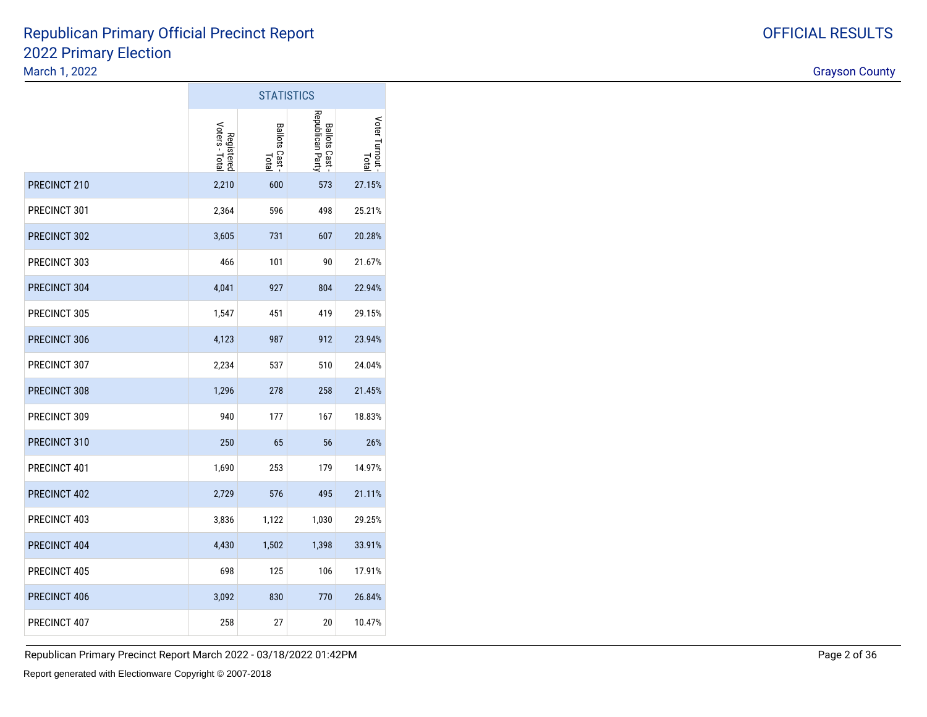#### OFFICIAL RESULTS

|              | <b>STATISTICS</b>            |                         |                                         |                        |  |
|--------------|------------------------------|-------------------------|-----------------------------------------|------------------------|--|
|              | Voters - Total<br>Registered | Ballots Cast -<br>Total | Republican Party<br><b>Ballots Cast</b> | Voter Turnout<br>Total |  |
| PRECINCT 210 | 2,210                        | 600                     | 573                                     | 27.15%                 |  |
| PRECINCT 301 | 2,364                        | 596                     | 498                                     | 25.21%                 |  |
| PRECINCT 302 | 3,605                        | 731                     | 607                                     | 20.28%                 |  |
| PRECINCT 303 | 466                          | 101                     | 90                                      | 21.67%                 |  |
| PRECINCT 304 | 4,041                        | 927                     | 804                                     | 22.94%                 |  |
| PRECINCT 305 | 1,547                        | 451                     | 419                                     | 29.15%                 |  |
| PRECINCT 306 | 4,123                        | 987                     | 912                                     | 23.94%                 |  |
| PRECINCT 307 | 2,234                        | 537                     | 510                                     | 24.04%                 |  |
| PRECINCT 308 | 1,296                        | 278                     | 258                                     | 21.45%                 |  |
| PRECINCT 309 | 940                          | 177                     | 167                                     | 18.83%                 |  |
| PRECINCT 310 | 250                          | 65                      | 56                                      | 26%                    |  |
| PRECINCT 401 | 1,690                        | 253                     | 179                                     | 14.97%                 |  |
| PRECINCT 402 | 2,729                        | 576                     | 495                                     | 21.11%                 |  |
| PRECINCT 403 | 3,836                        | 1,122                   | 1,030                                   | 29.25%                 |  |
| PRECINCT 404 | 4,430                        | 1,502                   | 1,398                                   | 33.91%                 |  |
| PRECINCT 405 | 698                          | 125                     | 106                                     | 17.91%                 |  |
| PRECINCT 406 | 3,092                        | 830                     | 770                                     | 26.84%                 |  |
| PRECINCT 407 | 258                          | 27                      | 20                                      | 10.47%                 |  |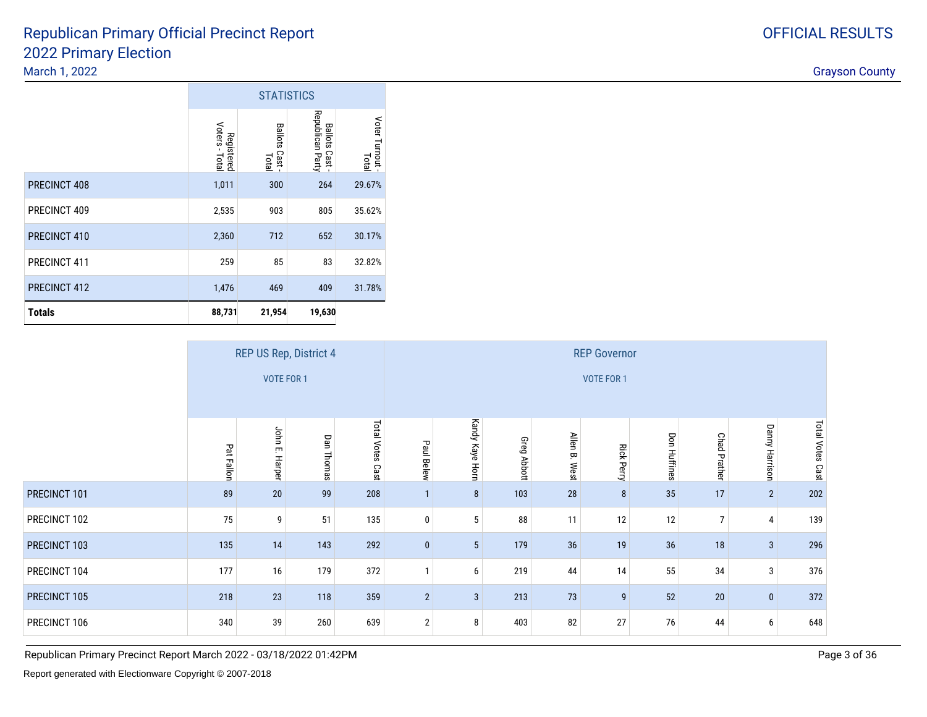#### 2022 Primary Electiondiscussion of the contract of the contract of the contract of the contract of the contract of the contract of the contract of the contract of the contract of the contract of the contract of the contract of the contract of Republican Primary Official Precinct Report

|               |                              | <b>STATISTICS</b>                 |                                             |                        |
|---------------|------------------------------|-----------------------------------|---------------------------------------------|------------------------|
|               | Voters - Total<br>Registered | <b>Ballots</b><br>Cast -<br>Total | Republican Party<br><b>Ballots</b><br>Cast- | Voter Turnout<br>Total |
| PRECINCT 408  | 1,011                        | 300                               | 264                                         | 29.67%                 |
| PRECINCT 409  | 2,535                        | 903                               | 805                                         | 35.62%                 |
| PRECINCT 410  | 2,360                        | 712                               | 652                                         | 30.17%                 |
| PRECINCT 411  | 259                          | 85                                | 83                                          | 32.82%                 |
| PRECINCT 412  | 1,476                        | 469                               | 409                                         | 31.78%                 |
| <b>Totals</b> | 88,731                       | 21,954                            | 19,630                                      |                        |

|              |            |                   | REP US Rep, District 4 |                            | <b>REP Governor</b> |                 |                    |                               |                   |                     |                     |                       |                  |
|--------------|------------|-------------------|------------------------|----------------------------|---------------------|-----------------|--------------------|-------------------------------|-------------------|---------------------|---------------------|-----------------------|------------------|
|              |            | VOTE FOR 1        |                        |                            |                     |                 |                    |                               | VOTE FOR 1        |                     |                     |                       |                  |
|              | Pat Fallon | John E.<br>Harper | Dan Thomas             | <b>Total Votes</b><br>Cast | Paul Belew          | Kandy Kaye Horn | <b>Greg Abbott</b> | <b>Allen</b><br>$\Xi$<br>West | <b>Rick Perry</b> | <b>Don Huffines</b> | <b>Chad Prather</b> | <b>Danny Harrison</b> | Total Votes Cast |
| PRECINCT 101 | 89         | 20                | 99                     | 208                        |                     | 8               | 103                | 28                            | 8                 | 35                  | 17                  | $\overline{2}$        | 202              |
| PRECINCT 102 | 75         | 9                 | 51                     | 135                        | $\mathbf{0}$        | 5               | 88                 | 11                            | 12                | 12                  | $\overline{7}$      | 4                     | 139              |
| PRECINCT 103 | 135        | 14                | 143                    | 292                        | $\mathbf{0}$        | 5               | 179                | 36                            | 19                | 36                  | 18                  | 3                     | 296              |
| PRECINCT 104 | 177        | 16                | 179                    | 372                        |                     | 6               | 219                | 44                            | 14                | 55                  | 34                  | 3                     | 376              |
| PRECINCT 105 | 218        | 23                | 118                    | 359                        | $2^{\circ}$         | $\mathbf{3}$    | 213                | 73                            | 9                 | 52                  | $20\,$              | $\mathbf{0}$          | 372              |
| PRECINCT 106 | 340        | 39                | 260                    | 639                        | $\overline{2}$      | 8               | 403                | 82                            | 27                | 76                  | 44                  | 6                     | 648              |

Republican Primary Precinct Report March 2022 - 03/18/2022 01:42PM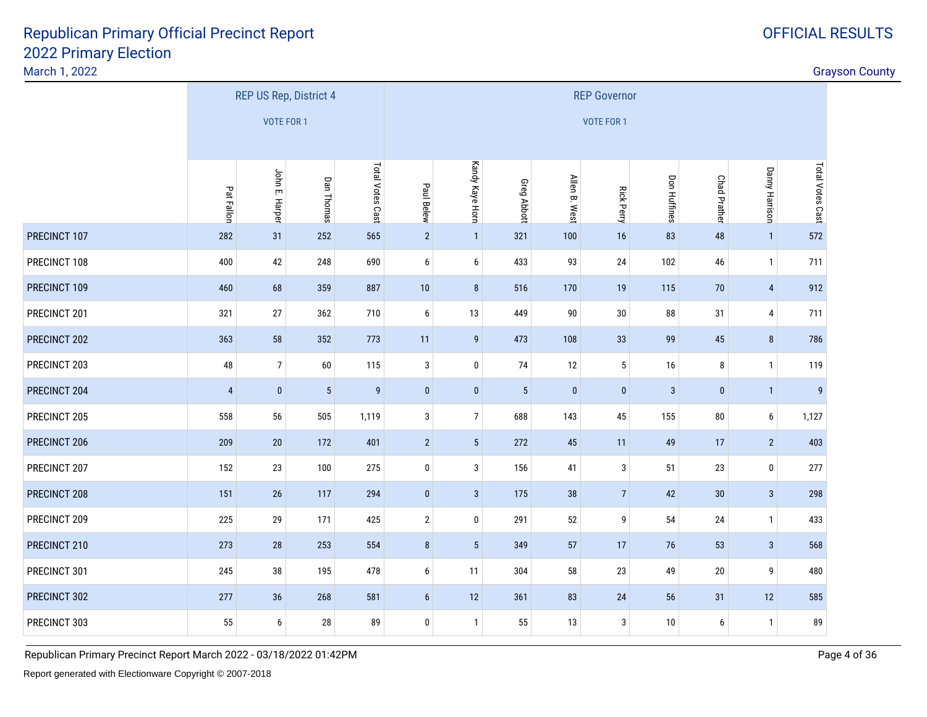#### March 1, 2022

|              |                |                   | REP US Rep, District 4 |                  | <b>REP Governor</b> |                  |                 |               |                   |              |                     |                  |                  |
|--------------|----------------|-------------------|------------------------|------------------|---------------------|------------------|-----------------|---------------|-------------------|--------------|---------------------|------------------|------------------|
|              |                | <b>VOTE FOR 1</b> |                        |                  |                     |                  |                 |               | <b>VOTE FOR 1</b> |              |                     |                  |                  |
|              | Pat Fallon     | John E. Harper    | Dan Thomas             | Total Votes Cast | Paul Belew          | Kandy Kaye Horn  | Greg Abbott     | Allen B. West | <b>Rick Perry</b> | Don Huffines | <b>Chad Prather</b> | Danny Harrison   | Total Votes Cast |
| PRECINCT 107 | 282            | 31                | 252                    | 565              | $\overline{2}$      | $\mathbf{1}$     | 321             | 100           | 16                | 83           | 48                  | $\mathbf{1}$     | 572              |
| PRECINCT 108 | 400            | 42                | 248                    | 690              | 6                   | 6                | 433             | 93            | 24                | 102          | 46                  | $\mathbf{1}$     | 711              |
| PRECINCT 109 | 460            | 68                | 359                    | 887              | $10$                | $\bf 8$          | 516             | 170           | 19                | 115          | $70$                | $\sqrt{4}$       | 912              |
| PRECINCT 201 | 321            | $27\,$            | 362                    | 710              | 6                   | 13               | 449             | $90\,$        | $30\,$            | 88           | 31                  | $\overline{4}$   | 711              |
| PRECINCT 202 | 363            | 58                | 352                    | 773              | 11                  | $\boldsymbol{9}$ | 473             | 108           | 33                | 99           | 45                  | $\bf 8$          | 786              |
| PRECINCT 203 | 48             | $\overline{7}$    | $60\,$                 | 115              | 3                   | 0                | 74              | 12            | $5\,$             | 16           | 8                   | $\mathbf{1}$     | 119              |
| PRECINCT 204 | $\overline{4}$ | $\pmb{0}$         | $5\phantom{.0}$        | $\boldsymbol{9}$ | $\pmb{0}$           | $\pmb{0}$        | $5\phantom{.0}$ | $\pmb{0}$     | $\pmb{0}$         | $\mathbf{3}$ | $\pmb{0}$           | $\mathbf{1}$     | $\overline{9}$   |
| PRECINCT 205 | 558            | 56                | 505                    | 1,119            | $\mathbf{3}$        | $\boldsymbol{7}$ | 688             | 143           | 45                | 155          | ${\bf 80}$          | $\boldsymbol{6}$ | 1,127            |
| PRECINCT 206 | 209            | $20\,$            | 172                    | 401              | $\overline{2}$      | $5\,$            | 272             | 45            | 11                | 49           | 17                  | $\overline{2}$   | 403              |
| PRECINCT 207 | 152            | 23                | 100                    | 275              | $\pmb{0}$           | 3                | 156             | 41            | 3                 | 51           | 23                  | $\pmb{0}$        | 277              |
| PRECINCT 208 | 151            | $26\phantom{.}$   | 117                    | 294              | $\pmb{0}$           | $\mathbf{3}$     | 175             | $38\,$        | $7\overline{ }$   | 42           | 30                  | $\sqrt{3}$       | 298              |
| PRECINCT 209 | 225            | 29                | 171                    | 425              | $\mathbf{2}$        | $\bf{0}$         | 291             | 52            | 9                 | 54           | 24                  | $\mathbf{1}$     | 433              |
| PRECINCT 210 | 273            | $28\,$            | 253                    | 554              | $8\phantom{.}$      | $5\phantom{.0}$  | 349             | 57            | 17                | 76           | 53                  | $\sqrt{3}$       | 568              |
| PRECINCT 301 | 245            | $38\,$            | 195                    | 478              | 6                   | 11               | 304             | 58            | 23                | 49           | $20\,$              | 9                | 480              |
| PRECINCT 302 | 277            | 36                | 268                    | 581              | 6                   | 12               | 361             | 83            | 24                | 56           | 31                  | 12               | 585              |
| PRECINCT 303 | 55             | 6                 | 28                     | 89               | $\bf{0}$            | $\mathbf{1}$     | 55              | 13            | 3                 | 10           | 6                   | $\mathbf{1}$     | 89               |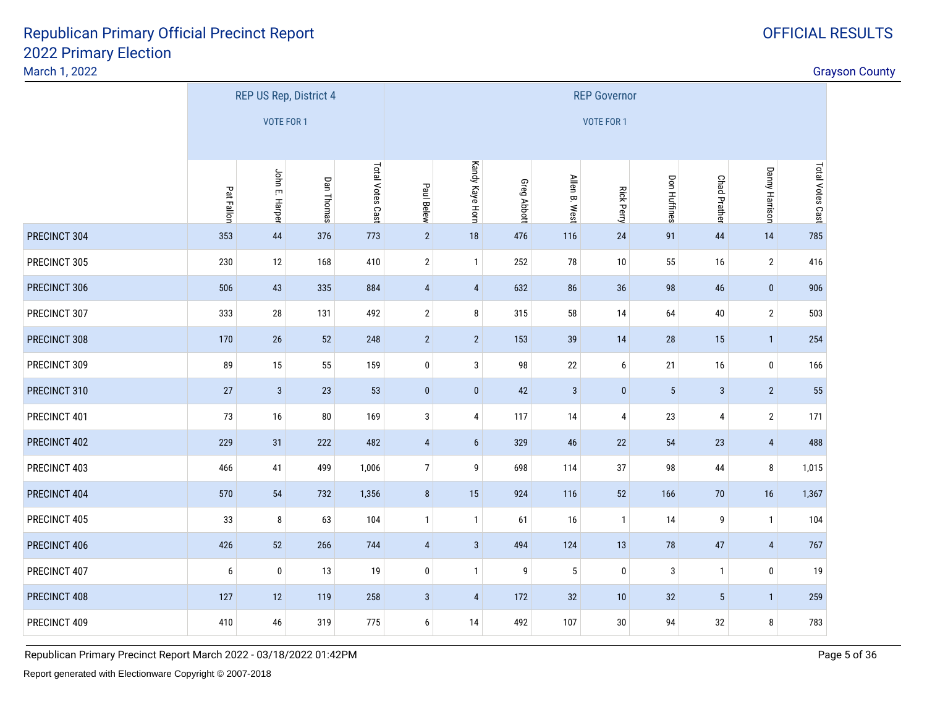#### March 1, 2022

|              |                  |                 | REP US Rep, District 4 |                  | <b>REP Governor</b> |                         |             |               |                   |              |                     |                |                  |
|--------------|------------------|-----------------|------------------------|------------------|---------------------|-------------------------|-------------|---------------|-------------------|--------------|---------------------|----------------|------------------|
|              |                  | VOTE FOR 1      |                        |                  |                     |                         |             |               | <b>VOTE FOR 1</b> |              |                     |                |                  |
|              |                  |                 |                        |                  |                     |                         |             |               |                   |              |                     |                |                  |
|              | Pat Fallon       | John E. Harper  | Dan Thomas             | Total Votes Cast | Paul Belew          | Kandy Kaye Horn         | Greg Abbott | Allen B. West | <b>Rick Perry</b> | Don Huffines | <b>Chad Prather</b> | Danny Harrison | Total Votes Cast |
| PRECINCT 304 | 353              | 44              | 376                    | 773              | $\overline{2}$      | 18                      | 476         | 116           | 24                | 91           | 44                  | 14             | 785              |
| PRECINCT 305 | 230              | 12              | 168                    | 410              | $\mathbf{2}$        | $\overline{1}$          | 252         | 78            | 10                | 55           | 16                  | $\overline{2}$ | 416              |
| PRECINCT 306 | 506              | 43              | 335                    | 884              | $\overline{4}$      | $\overline{\mathbf{4}}$ | 632         | 86            | 36                | 98           | 46                  | $\pmb{0}$      | 906              |
| PRECINCT 307 | 333              | 28              | 131                    | 492              | $\overline{2}$      | 8                       | 315         | 58            | 14                | 64           | $40\,$              | $\sqrt{2}$     | 503              |
| PRECINCT 308 | 170              | $26\phantom{.}$ | 52                     | 248              | $\overline{2}$      | $\overline{2}$          | 153         | 39            | 14                | 28           | 15                  | $\mathbf{1}$   | 254              |
| PRECINCT 309 | 89               | 15              | 55                     | 159              | $\pmb{0}$           | $\mathbf{3}$            | 98          | $22\,$        | $\boldsymbol{6}$  | 21           | 16                  | $\pmb{0}$      | 166              |
| PRECINCT 310 | 27               | $\mathbf{3}$    | $23\,$                 | 53               | $\pmb{0}$           | $\pmb{0}$               | 42          | $\sqrt{3}$    | $\pmb{0}$         | $\sqrt{5}$   | $\sqrt{3}$          | $\overline{2}$ | 55               |
| PRECINCT 401 | 73               | 16              | ${\bf 80}$             | 169              | $\mathbf{3}$        | $\pmb{4}$               | 117         | $14$          | $\pmb{4}$         | 23           | $\pmb{4}$           | $\sqrt{2}$     | 171              |
| PRECINCT 402 | 229              | 31              | 222                    | 482              | $\overline{4}$      | $6\phantom{.}6$         | 329         | 46            | 22                | 54           | 23                  | $\sqrt{4}$     | 488              |
| PRECINCT 403 | 466              | 41              | 499                    | 1,006            | $\overline{7}$      | 9                       | 698         | 114           | 37                | 98           | 44                  | $\bf 8$        | 1,015            |
| PRECINCT 404 | 570              | 54              | 732                    | 1,356            | $\bf 8$             | 15                      | 924         | 116           | $52\,$            | 166          | $70\,$              | $16$           | 1,367            |
| PRECINCT 405 | 33               | 8               | 63                     | 104              | $\mathbf{1}$        | $\overline{1}$          | 61          | $16\,$        | $\mathbf{1}$      | 14           | 9                   | $\mathbf{1}$   | 104              |
| PRECINCT 406 | 426              | 52              | 266                    | 744              | $\overline{4}$      | $\mathbf{3}$            | 494         | 124           | 13                | 78           | 47                  | $\sqrt{4}$     | 767              |
| PRECINCT 407 | $\boldsymbol{6}$ | $\pmb{0}$       | 13                     | $19$             | $\pmb{0}$           | $\overline{1}$          | 9           | $\sqrt{5}$    | $\pmb{0}$         | $\sqrt{3}$   | $\mathbf{1}$        | $\pmb{0}$      | 19               |
| PRECINCT 408 | 127              | 12              | 119                    | 258              | $\mathbf{3}$        | $\overline{\mathbf{4}}$ | 172         | $32\,$        | 10                | 32           | $\sqrt{5}$          | $\mathbf{1}$   | 259              |
| PRECINCT 409 | 410              | 46              | 319                    | 775              | 6                   | 14                      | 492         | 107           | $30\,$            | 94           | $32\,$              | 8              | 783              |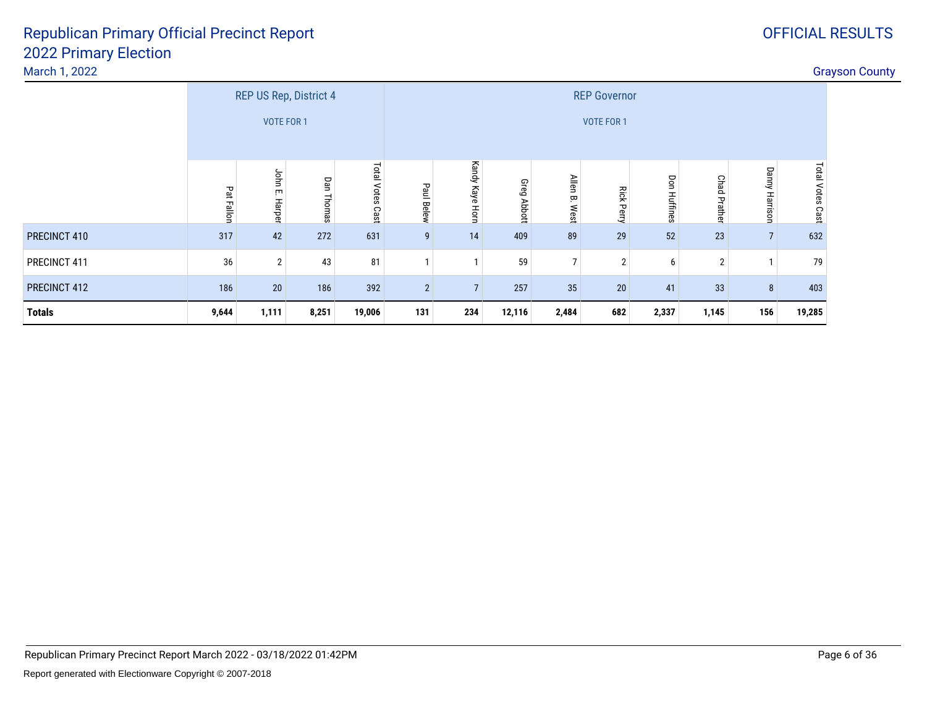#### March 1, 2022

|               |            |                     | REP US Rep, District 4 |                  | <b>REP Governor</b> |                    |                |               |                   |                     |                     |                |                     |  |
|---------------|------------|---------------------|------------------------|------------------|---------------------|--------------------|----------------|---------------|-------------------|---------------------|---------------------|----------------|---------------------|--|
|               |            | <b>VOTE FOR 1</b>   |                        |                  |                     |                    |                |               | <b>VOTE FOR 1</b> |                     |                     |                |                     |  |
|               | Pat Fallon | John<br>m<br>Harper | Dan<br>Thomas          | Total Votes Cast | Paul Belew          | Kandy Kaye<br>Horn | Greg<br>Abbott | Allen B. West | <b>Rick Perry</b> | <b>Don Huffines</b> | <b>Chad Prather</b> | Danny Harrison | Total Votes<br>Cast |  |
| PRECINCT 410  | 317        | 42                  | 272                    | 631              | 9                   | 14                 | 409            | 89            | 29                | 52                  | 23                  | $\overline{7}$ | 632                 |  |
| PRECINCT 411  | 36         | $\overline{2}$      | 43                     | 81               | 1                   | ٠                  | 59             | 7             | $\overline{2}$    | 6                   | $\overline{2}$      |                | 79                  |  |
| PRECINCT 412  | 186        | 20                  | 186                    | 392              | $\overline{2}$      | $\overline{7}$     | 257            | 35            | 20                | 41                  | 33                  | $\bf 8$        | 403                 |  |
| <b>Totals</b> | 9,644      | 1,111               | 8,251                  | 19,006           | 131                 | 234                | 12,116         | 2,484         | 682               | 2,337               | 1,145               | 156            | 19,285              |  |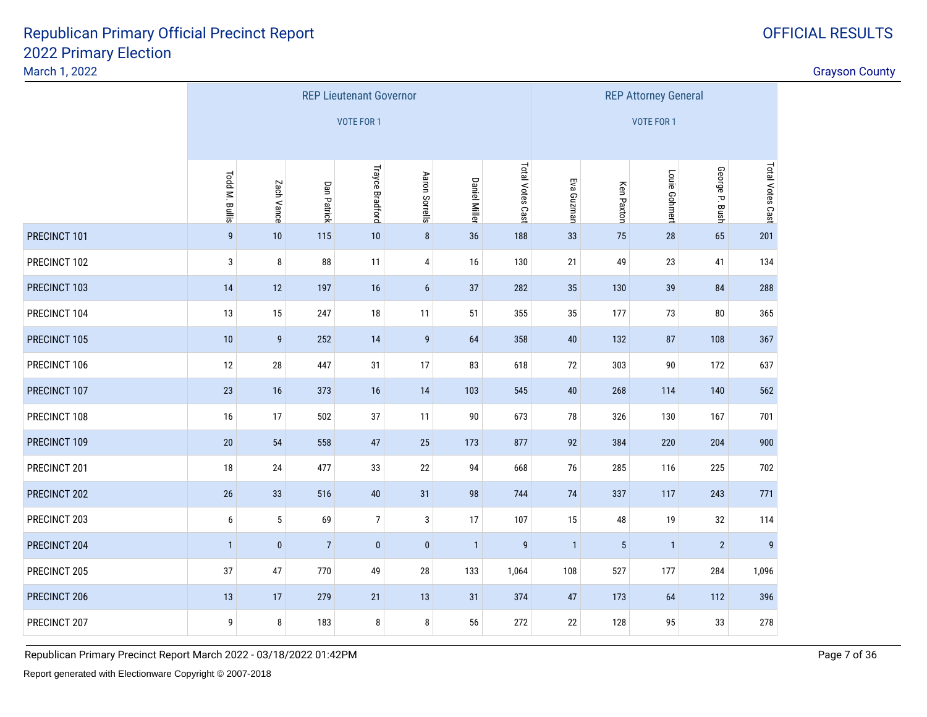March 1, 2022

discussion of the contract of the contract of the contract of the contract of the contract of the contract of the contract of the contract of the contract of the contract of the contract of the contract of the contract of

|              |                 |                                                      |                | <b>REP Lieutenant Governor</b> |                  |                      | <b>REP Attorney General</b> |              |                   |               |                |                  |
|--------------|-----------------|------------------------------------------------------|----------------|--------------------------------|------------------|----------------------|-----------------------------|--------------|-------------------|---------------|----------------|------------------|
|              |                 |                                                      |                | VOTE FOR 1                     |                  |                      |                             |              |                   | VOTE FOR 1    |                |                  |
|              |                 |                                                      |                |                                |                  |                      |                             |              |                   |               |                |                  |
|              | Todd M. Bullis  | Zach Vance                                           | Dan Patrick    | <b>Trayce Bradford</b>         | Aaron Sorrells   | <b>Daniel Miller</b> | Total Votes Cast            | Eva Guzman   | <b>Ken Paxton</b> | Louie Gohmert | George P. Bush | Total Votes Cast |
| PRECINCT 101 | 9               | 10                                                   | 115            | 10                             | $\bf 8$          | 36                   | 188                         | 33           | 75                | 28            | 65             | 201              |
| PRECINCT 102 | 3               | 8                                                    | ${\bf 88}$     | 11                             | 4                | 16                   | 130                         | 21           | 49                | 23            | 41             | 134              |
| PRECINCT 103 | 14              | 12                                                   | 197            | 16                             | $\boldsymbol{6}$ | 282                  | 35                          | 130          | 39                | 84            | 288            |                  |
| PRECINCT 104 | 13              | 15                                                   | 247            | 18                             | 11               | 355                  | 35                          | 177          | 73                | $80\,$        | 365            |                  |
| PRECINCT 105 | 10              | $\boldsymbol{9}$                                     | 252            | 14                             | $\boldsymbol{9}$ | 40                   | 132                         | 87           | 108               | 367           |                |                  |
| PRECINCT 106 | 12              | 28                                                   | 447            | 31                             | 17               | 83                   | 618                         | $72\,$       | 303               | 90            | 172            | 637              |
| PRECINCT 107 | 23              | 16                                                   | 373            | 16                             | 14               | 103                  | 545                         | $40\,$       | 268               | 114           | 140            | 562              |
| PRECINCT 108 | 16              | 17                                                   | 502            | $37\,$                         | 11               | $90\,$               | 673                         | 78           | 326               | 130           | 167            | 701              |
| PRECINCT 109 | $20\,$          | 54                                                   | 558            | 47                             | 25               | 173                  | 877                         | 92           | 384               | 220           | 204            | 900              |
| PRECINCT 201 | 18              | 24                                                   | 477            | 33                             | 22               | 94                   | 668                         | 76           | 285               | 116           | 225            | 702              |
| PRECINCT 202 | $26\phantom{.}$ | 33                                                   | 516            | 40                             | 31               | 98                   | 744                         | $74$         | 337               | 117           | 243            | 771              |
| PRECINCT 203 | 6               | $\sqrt{5}$<br>$\overline{7}$<br>69<br>3<br>17<br>107 |                |                                |                  |                      |                             |              | 48                | 19            | 32             | 114              |
| PRECINCT 204 | $\mathbf{1}$    | $\pmb{0}$                                            | $\overline{7}$ | $\mathbf 0$                    | $\pmb{0}$        | $\mathbf{1}$         | $\overline{9}$              | $\mathbf{1}$ | $\sqrt{5}$        | $\mathbf{1}$  | $\overline{2}$ | 9                |
| PRECINCT 205 | 37              | 47                                                   | 770            | 49                             | $28\,$           | 133                  | 1,064                       | 108          | 527               | 177           | 284            | 1,096            |
| PRECINCT 206 | 13              | 279<br>17<br>21<br>13<br>31<br>374                   |                |                                |                  |                      |                             |              | 173               | 64            | 112            | 396              |
| PRECINCT 207 | 9               | 8                                                    | 183            | 8                              | 8                | 56                   | 272                         | 22           | 128               | 95            | 33             | 278              |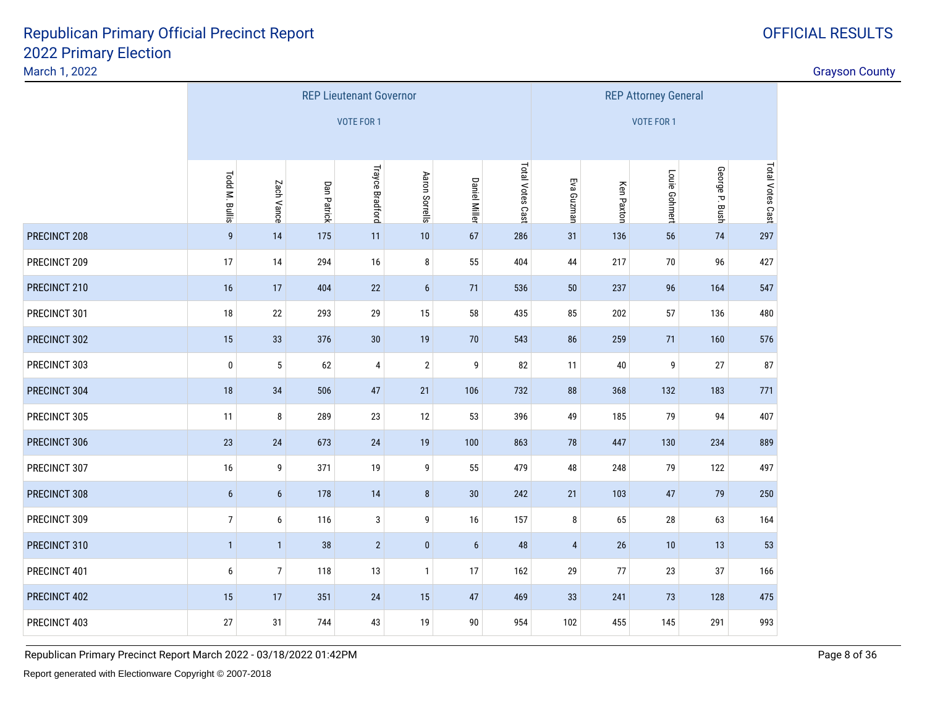March 1, 2022

|              |                                                     |                  |             | <b>REP Lieutenant Governor</b> |                |                      | <b>REP Attorney General</b> |                |                   |                   |                |                  |
|--------------|-----------------------------------------------------|------------------|-------------|--------------------------------|----------------|----------------------|-----------------------------|----------------|-------------------|-------------------|----------------|------------------|
|              |                                                     |                  |             | VOTE FOR 1                     |                |                      |                             |                |                   | <b>VOTE FOR 1</b> |                |                  |
|              |                                                     |                  |             |                                |                |                      |                             |                |                   |                   |                |                  |
|              | Todd M. Bullis                                      | Zach Vance       | Dan Patrick | <b>Trayce Bradford</b>         | Aaron Sorrells | <b>Daniel Miller</b> | Total Votes Cast            | Eva Guzman     | <b>Ken Paxton</b> | Louie Gohmert     | George P. Bush | Total Votes Cast |
| PRECINCT 208 | 9                                                   | 14               | 175         | 11                             | 10             | 67                   | 286                         | 31             | 136               | 56                | 74             | 297              |
| PRECINCT 209 | 17                                                  | 14               | 294         | 16                             | 8              | 55                   | 404                         | 44             | 217               | 70                | 96             | 427              |
| PRECINCT 210 | 16                                                  | 17               | 404         | 22                             | $6\phantom{a}$ | 536                  | $50\,$                      | 237            | 96                | 164               | 547            |                  |
| PRECINCT 301 | $18\,$                                              | $22\,$           | 293         | 29                             | 15             | 435                  | 85                          | 202            | 57                | 136               | 480            |                  |
| PRECINCT 302 | 15                                                  | 33               | 30          | 19                             | 86             | 259                  | 71                          | 160            | 576               |                   |                |                  |
| PRECINCT 303 | $\pmb{0}$                                           | $\mathbf 5$      | 62          | $\overline{4}$                 | $\overline{2}$ | 9                    | 82                          | 11             | 40                | 9                 | 27             | 87               |
| PRECINCT 304 | $18\,$                                              | 34               | 506         | 47                             | 21             | 106                  | 732                         | 88             | 368               | 132               | 183            | 771              |
| PRECINCT 305 | 11                                                  | 8                | 289         | $23\,$                         | 12             | 53                   | 396                         | 49             | 185               | 79                | 94             | 407              |
| PRECINCT 306 | 23                                                  | 24               | 673         | 24                             | 19             | 100                  | 863                         | 78             | 447               | 130               | 234            | 889              |
| PRECINCT 307 | $16\,$                                              | 9                | 371         | 19                             | 9              | 55                   | 479                         | 48             | 248               | 79                | 122            | 497              |
| PRECINCT 308 | $\boldsymbol{6}$                                    | $\boldsymbol{6}$ | 178         | 14                             | $\bf 8$        | 30                   | 242                         | 21             | 103               | 47                | 79             | 250              |
| PRECINCT 309 | $\overline{7}$<br>3<br>9<br>157<br>6<br>116<br>$16$ |                  |             |                                |                |                      |                             |                | 65                | 28                | 63             | 164              |
| PRECINCT 310 | $\mathbf{1}$                                        | $\mathbf{1}$     | 38          | $\overline{2}$                 | $\pmb{0}$      | $\boldsymbol{6}$     | 48                          | $\overline{4}$ | 26                | 10                | 13             | 53               |
| PRECINCT 401 | 6                                                   | $\boldsymbol{7}$ | 118         | 13                             | $\mathbf{1}$   | 17                   | 162                         | 29             | 77                | 23                | 37             | 166              |
| PRECINCT 402 | 15                                                  | 17               | 351         | $24$                           | 15             | 469                  | 33                          | 241            | 73                | 128               | 475            |                  |
| PRECINCT 403 | $27\,$                                              | 31               | 744         | 43                             | 19             | $90\,$               | 954                         | 102            | 455               | 145               | 291            | 993              |

Republican Primary Precinct Report March 2022 - 03/18/2022 01:42PM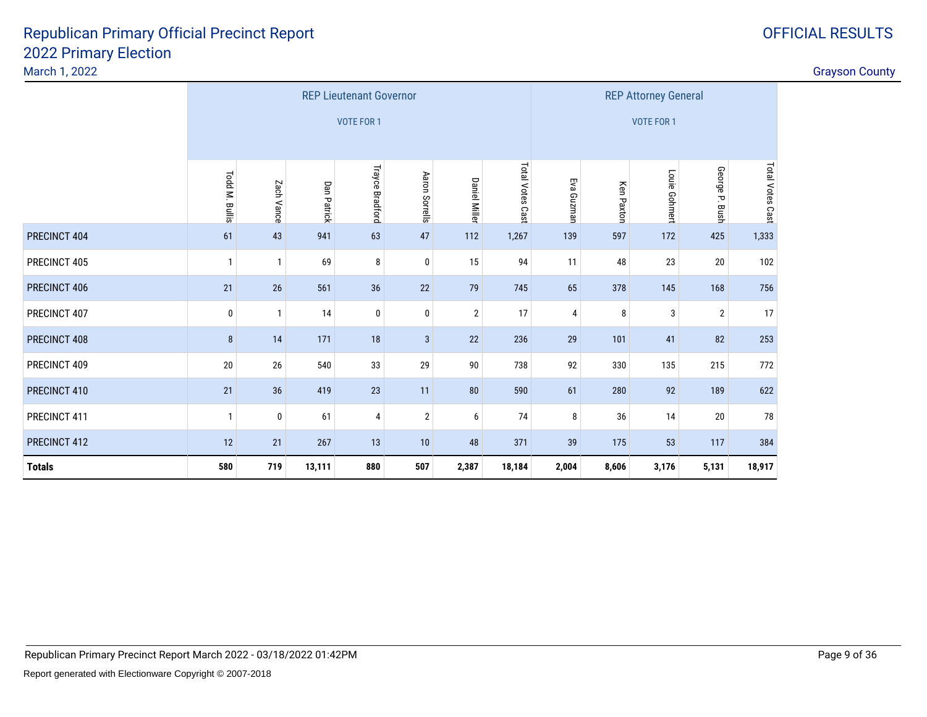| March 1, 2022 |                |              |             |                                |                |                      |                  |                               |            |                             |                | <b>Grayson County</b> |  |
|---------------|----------------|--------------|-------------|--------------------------------|----------------|----------------------|------------------|-------------------------------|------------|-----------------------------|----------------|-----------------------|--|
|               |                |              |             | <b>REP Lieutenant Governor</b> |                |                      |                  |                               |            | <b>REP Attorney General</b> |                |                       |  |
|               |                |              |             | VOTE FOR 1                     |                |                      |                  |                               |            | VOTE FOR 1                  |                |                       |  |
|               |                |              |             |                                |                |                      |                  |                               |            |                             |                |                       |  |
|               | Todd M. Bullis | Zach Vance   | Dan Patrick | Trayce Bradford                | Aaron Sorrells | <b>Daniel Miller</b> | Total Votes Cast | Eva Guzman                    | Ken Paxton | Louie Gohmert               | George P. Bush | Total Votes Cast      |  |
| PRECINCT 404  | 61             | 43           | 941         | 63                             | 47             | 112                  | 1,267            | 139                           | 597        | 172                         | 425            | 1,333                 |  |
| PRECINCT 405  | $\mathbf{1}$   |              | 69          | 8                              | 0              | 15                   | 94               | 11                            | 48         | 23                          | $20\,$         | 102                   |  |
| PRECINCT 406  | 21             | 26           | 561         | 36                             | 22             | 79                   | 745              | 65                            | 378        | 145                         | 168            | 756                   |  |
| PRECINCT 407  | $\bf{0}$       | $\mathbf{1}$ | 14          | 0                              | 0              | $\overline{2}$       | 17               | 4                             | 8          | 3                           | $\overline{2}$ | 17                    |  |
| PRECINCT 408  | 8              | 14           | 171         | 18                             | $\mathbf{3}$   | 22                   | 236              | 29                            | 101        | 41                          | 82             | 253                   |  |
| PRECINCT 409  | 20             | 26           | 540         | 33                             | 29             | 90                   | 738              | 92                            | 330        | 135                         | 215            | 772                   |  |
| PRECINCT 410  | 21             | 36           | 419         | 23                             | 11             | ${\bf 80}$           | 590              | 61                            | 280        | 92                          | 189            | 622                   |  |
| PRECINCT 411  | -1             | 0            | 61          | 4                              | $\overline{2}$ | 6                    | 74               | 8                             | 36         | 14                          | 20             | 78                    |  |
| PRECINCT 412  | 12             | 21           | 267         | 13                             | 10             | 48                   | 371              | 53<br>384<br>39<br>175<br>117 |            |                             |                |                       |  |
| <b>Totals</b> | 580            | 719          | 13,111      | 880                            | 507            | 2,387                | 18,184           | 2,004                         | 8,606      | 3,176                       | 5,131          | 18,917                |  |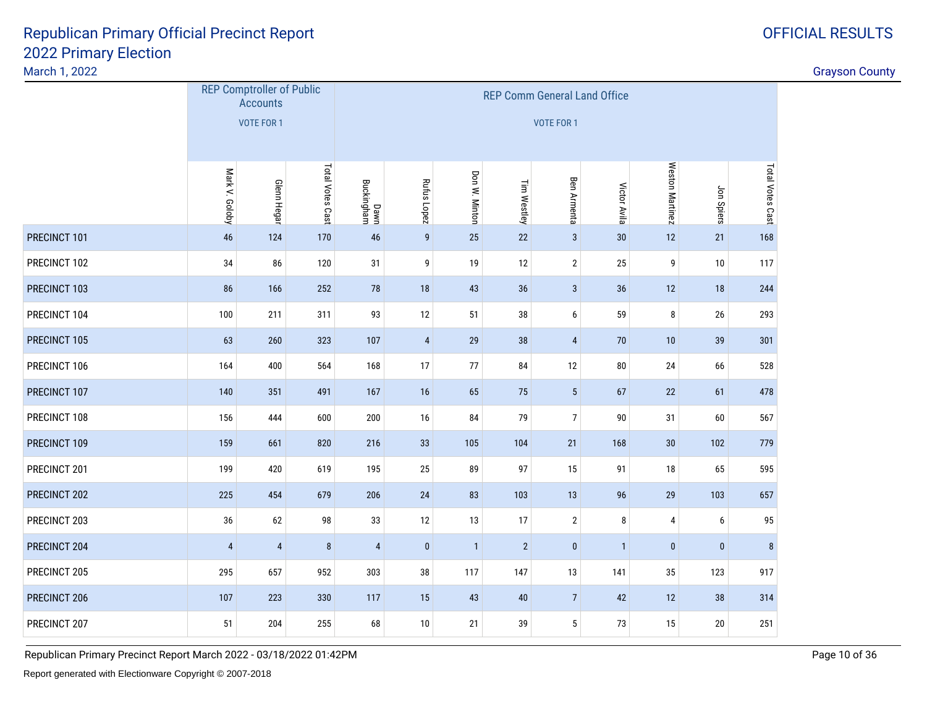#### March 1, 2022

| March 1, 2022 |                |                                                                          |                  |                    |                  |                |                |                    |                |                  |            |                  | <b>Grayson County</b> |
|---------------|----------------|--------------------------------------------------------------------------|------------------|--------------------|------------------|----------------|----------------|--------------------|----------------|------------------|------------|------------------|-----------------------|
|               |                | <b>REP Comptroller of Public</b><br><b>Accounts</b><br><b>VOTE FOR 1</b> |                  |                    |                  |                |                |                    |                |                  |            |                  |                       |
|               | Mark V. Goloby | <b>Glenn Hegar</b>                                                       | Total Votes Cast | Dawn<br>Buckingham | Rufus Lopez      | Don W. Minton  | Tim Westley    | <b>Ben Armenta</b> | Victor Avila   | Weston Martinez  | Jon Spiers | Total Votes Cast |                       |
| PRECINCT 101  | 46             | 124                                                                      | 170              | 46                 | $\boldsymbol{9}$ | 25             | 22             | $\mathbf{3}$       | $30\,$         | 12               | 21         | 168              |                       |
| PRECINCT 102  | $34\,$         | 86                                                                       | 120              | 31                 | 9                | 19             | 12             | $\overline{2}$     | 25             | $\boldsymbol{9}$ | 10         | 117              |                       |
| PRECINCT 103  | 86             | 166                                                                      | 252              | $78\,$             | $18\,$           | 43             | $36\,$         | $\sqrt{3}$         | 36             | $12\,$           | 18         | 244              |                       |
| PRECINCT 104  | 100            | 211                                                                      | 311              | 93                 | 12               | 51             | 38             | 6                  | 59             | $\bf 8$          | 26         | 293              |                       |
| PRECINCT 105  | 63             | 260                                                                      | 323              | 107                | $\overline{4}$   | 29             | 38             | $\overline{4}$     | 70             | 10               | 39         | 301              |                       |
| PRECINCT 106  | 164            | 400                                                                      | 564              | 168                | 17               | $77$           | 84             | $12\,$             | 80             | 24               | 66         | 528              |                       |
| PRECINCT 107  | 140            | 351                                                                      | 491              | 167                | 16               | 65             | 75             | $5\phantom{.0}$    | 67             | 22               | 61         | 478              |                       |
| PRECINCT 108  | 156            | 444                                                                      | 600              | 200                | 16               | 84             | 79             | $\overline{7}$     | 90             | 31               | 60         | 567              |                       |
| PRECINCT 109  | 159            | 661                                                                      | 820              | 216                | 33               | 105            | 104            | 21                 | 168            | 30 <sub>o</sub>  | 102        | 779              |                       |
| PRECINCT 201  | 199            | 420                                                                      | 619              | 195                | $25\,$           | 89             | 97             | 15                 | 91             | $18\,$           | 65         | 595              |                       |
| PRECINCT 202  | 225            | 454                                                                      | 679              | 206                | $24$             | 83             | 103            | 13                 | 96             | 29               | 103        | 657              |                       |
| PRECINCT 203  | 36             | 62                                                                       | 98               | 33                 | 12               | 13             | 17             | $\overline{2}$     | $\bf{8}$       | $\overline{4}$   | 6          | 95               |                       |
| PRECINCT 204  | $\overline{4}$ | $\sqrt{4}$                                                               | $\bf 8$          | $\overline{4}$     | $\pmb{0}$        | $\overline{1}$ | $\overline{2}$ | $\mathbf{0}$       | $\overline{1}$ | $\pmb{0}$        | $\pmb{0}$  | $\bf 8$          |                       |
| PRECINCT 205  | 295            | 657                                                                      | 952              | 303                | 38               | 117            | 147            | 13                 | 141            | 35               | 123        | 917              |                       |
| PRECINCT 206  | 107            | 223                                                                      | 330              | 117                | 15               | 43             | 40             | $\overline{7}$     | 42             | 12               | 38         | 314              |                       |
| PRECINCT 207  | 51             | 204                                                                      | 255              | 68                 | 10               | 21             | 39             | 5                  | 73             | 15               | 20         | 251              |                       |
|               |                |                                                                          |                  |                    |                  |                |                |                    |                |                  |            |                  |                       |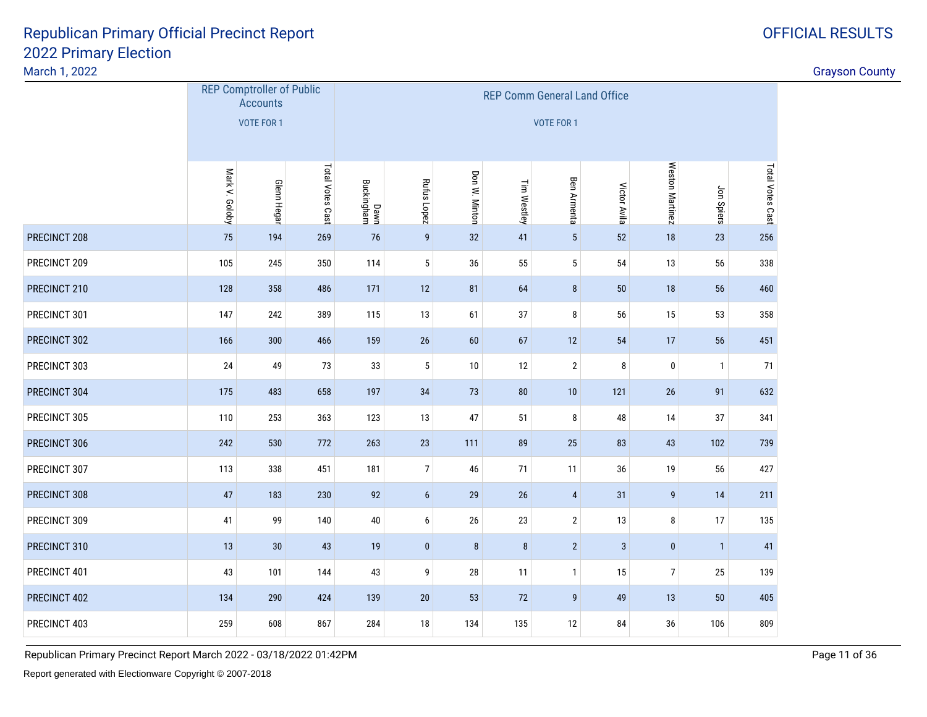|              | <b>REP Comptroller of Public</b><br><b>Accounts</b><br><b>VOTE FOR 1</b> |                    |                  | <b>REP Comm General Land Office</b><br><b>VOTE FOR 1</b> |                  |               |             |                |              |                  |              |                  |
|--------------|--------------------------------------------------------------------------|--------------------|------------------|----------------------------------------------------------|------------------|---------------|-------------|----------------|--------------|------------------|--------------|------------------|
|              | Mark V. Goloby                                                           | <b>Glenn Hegar</b> | Total Votes Cast | Dawn<br>Buckingham                                       | Rufus Lopez      | Don W. Minton | Tim Westley | Ben Armenta    | Victor Avila | Weston Martinez  | Jon Spiers   | Total Votes Cast |
| PRECINCT 208 | 75                                                                       | 194                | 269              | 76                                                       | $\boldsymbol{9}$ | 32            | 41          | $\overline{5}$ | 52           | 18               | 23           | 256              |
| PRECINCT 209 | 105                                                                      | 245                | 350              | 114                                                      | 5                | 36            | 55          | $5\,$          | 54           | 13               | 56           | 338              |
| PRECINCT 210 | 128                                                                      | 358                | 486              | 171                                                      | 12               | 81            | 64          | $\bf 8$        | 50           | 18               | 56           | 460              |
| PRECINCT 301 | 147                                                                      | 242                | 389              | 115                                                      | 13               | 61            | 37          | 8              | 56           | 15               | 53           | 358              |
| PRECINCT 302 | 166                                                                      | 300                | 466              | 159                                                      | 26               | 60            | 67          | 12             | 54           | 17               | 56           | 451              |
| PRECINCT 303 | 24                                                                       | 49                 | 73               | 33                                                       | 5                | 10            | 12          | $\overline{2}$ | 8            | $\pmb{0}$        | $\mathbf{1}$ | 71               |
| PRECINCT 304 | 175                                                                      | 483                | 658              | 197                                                      | 34               | 73            | 80          | 10             | 121          | 26               | 91           | 632              |
| PRECINCT 305 | 110                                                                      | 253                | 363              | 123                                                      | 13               | 47            | 51          | 8              | 48           | 14               | 37           | 341              |
| PRECINCT 306 | 242                                                                      | 530                | 772              | 263                                                      | 23               | 111           | 89          | 25             | 83           | 43               | 102          | 739              |
| PRECINCT 307 | 113                                                                      | 338                | 451              | 181                                                      | $\overline{7}$   | 46            | 71          | 11             | 36           | 19               | 56           | 427              |
| PRECINCT 308 | 47                                                                       | 183                | 230              | 92                                                       | $\boldsymbol{6}$ | 29            | 26          | $\overline{4}$ | 31           | $\boldsymbol{9}$ | 14           | 211              |
| PRECINCT 309 | 41                                                                       | 99                 | 140              | $40\,$                                                   | 6                | $26\,$        | 23          | $\overline{2}$ | 13           | 8                | 17           | 135              |
| PRECINCT 310 | 13                                                                       | 30                 | 43               | 19                                                       | $\pmb{0}$        | $\bf 8$       | $\bf 8$     | $\overline{2}$ | $\sqrt{3}$   | $\pmb{0}$        | $\mathbf{1}$ | 41               |
| PRECINCT 401 | 43                                                                       | 101                | 144              | 43                                                       | 9                | 28            | 11          | $\mathbf{1}$   | 15           | $\overline{7}$   | 25           | 139              |
| PRECINCT 402 | 134                                                                      | 290                | 424              | 139                                                      | $20\,$           | 53            | $72\,$      | 9              | 49           | 13               | 50           | 405              |
| PRECINCT 403 | 259                                                                      | 608                | 867              | 284                                                      | 18               | 134           | 135         | 12             | 84           | 36               | 106          | 809              |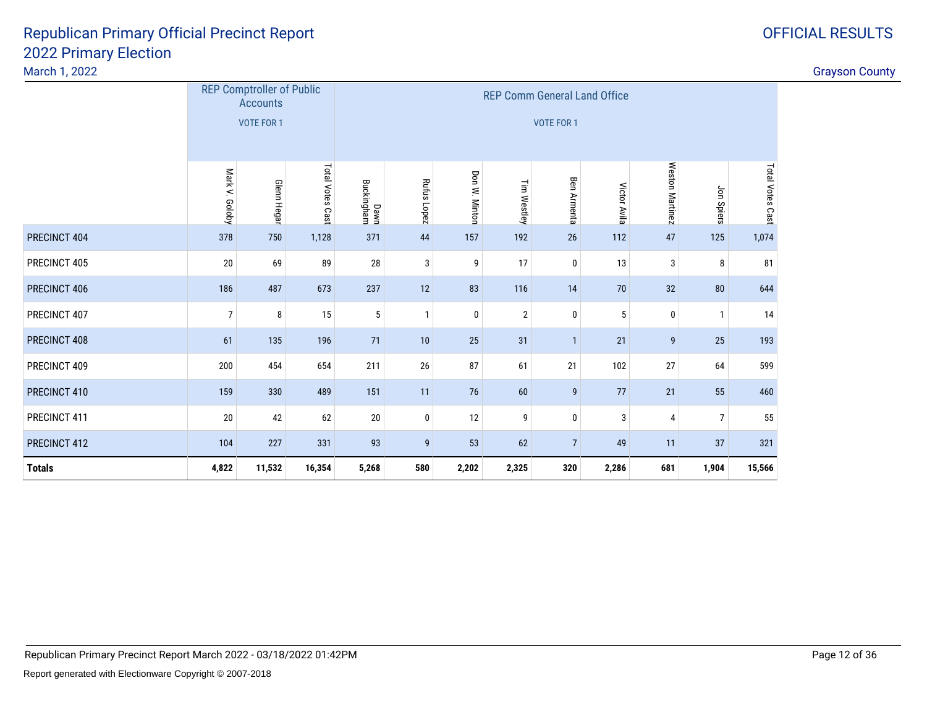#### March 1, 2022

| <b>OFFICIAL RESULTS</b> |
|-------------------------|
|                         |

|               |                   | <b>REP Comptroller of Public</b><br><b>Accounts</b> |                  |                    |                |               | <b>REP Comm General Land Office</b> |                    |              |                 |                |                  |
|---------------|-------------------|-----------------------------------------------------|------------------|--------------------|----------------|---------------|-------------------------------------|--------------------|--------------|-----------------|----------------|------------------|
|               |                   | <b>VOTE FOR 1</b>                                   |                  |                    |                |               |                                     | <b>VOTE FOR 1</b>  |              |                 |                |                  |
|               | Mark V. Goloby    | Glenn Hegar                                         | Total Votes Cast | Dawn<br>Buckingham | Rufus Lopez    | Don W. Minton | Tim Westley                         | <b>Ben Armenta</b> | Victor Avila | Weston Martinez | Jon Spiers     | Total Votes Cast |
| PRECINCT 404  | 378               | 750                                                 | 1,128            | 371                | 44             | 157           | 192                                 | 26                 | 112          | 47              | 125            | 1,074            |
| PRECINCT 405  | 20                | 69                                                  | 89               | 28                 | 3              | 9             | 17                                  | $\bf{0}$           | 13           | 3               | 8              | 81               |
| PRECINCT 406  | 186               | 487                                                 | 673              | 237                | 12             | 83            | 116                                 | 14                 | 70           | 32              | 80             | 644              |
| PRECINCT 407  | 7                 | 8                                                   | 15               | 5                  | $\mathbf{1}$   | $\mathbf 0$   | $\overline{2}$                      | $\bf{0}$           | 5            | 0               | $\mathbf{1}$   | 14               |
| PRECINCT 408  | 61                | 135                                                 | 196              | 71                 | 10             | 25            | 31                                  | $\mathbf{1}$       | 21           | 9               | 25             | 193              |
| PRECINCT 409  | 200               | 454                                                 | 654              | 211                | 26             | 87            | 61                                  | 21                 | 102          | 27              | 64             | 599              |
| PRECINCT 410  | 159               | 330                                                 | 489              | 151                | 11             | 76            | 60                                  | 9                  | 77           | 21              | 55             | 460              |
| PRECINCT 411  | 20                | 42                                                  | 62               | 20                 | $\bf{0}$       | 12            | 9                                   | $\bf{0}$           | 3            | 4               | $\overline{7}$ | 55               |
| PRECINCT 412  | 104<br>227<br>331 |                                                     |                  | 93                 | $\overline{9}$ | 53            | 62                                  | $\overline{7}$     | 49           | 11              | 37             | 321              |
| <b>Totals</b> | 4,822             | 11,532                                              | 16,354           | 5,268              | 580            | 2,202         | 2,325                               | 320                | 2,286        | 681             | 1,904          | 15,566           |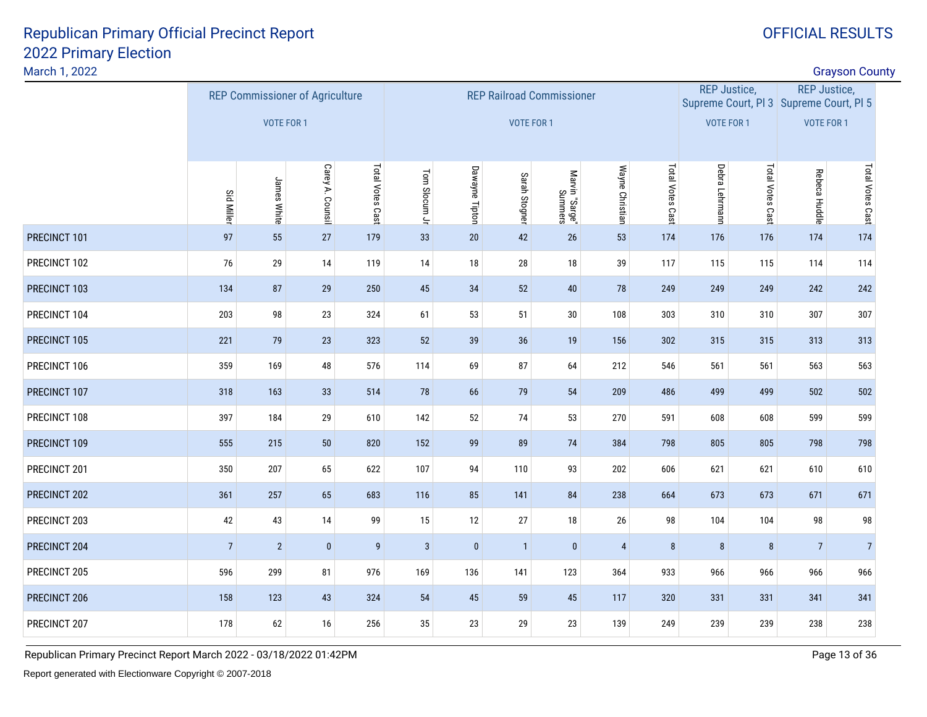#### March 1, 2022

| March 1, 2022 |                   |                                        |                  |                  |               |                |                   |                                  |                 |                  |                     |                  |                                                                | <b>Grayson County</b> |  |
|---------------|-------------------|----------------------------------------|------------------|------------------|---------------|----------------|-------------------|----------------------------------|-----------------|------------------|---------------------|------------------|----------------------------------------------------------------|-----------------------|--|
|               |                   | <b>REP Commissioner of Agriculture</b> |                  |                  |               |                |                   | <b>REP Railroad Commissioner</b> |                 |                  | <b>REP Justice,</b> |                  | <b>REP Justice,</b><br>Supreme Court, PI 3 Supreme Court, PI 5 |                       |  |
|               |                   | VOTE FOR 1                             |                  |                  |               |                | <b>VOTE FOR 1</b> |                                  |                 |                  | <b>VOTE FOR 1</b>   |                  | VOTE FOR 1                                                     |                       |  |
|               | <b>Sid Miller</b> | James White                            | Carey A. Counsil | Total Votes Cast | Tom Slocum Jr | Dawayne Tipton | Sarah Stogner     | Marvin "Sarge"<br>Summers        | Wayne Christian | Total Votes Cast | Debra Lehrmann      | Total Votes Cast | Rebeca Huddle                                                  | Total Votes Cast      |  |
| PRECINCT 101  | 97                | 55                                     | 27               | 179              | 33            | $20\,$         | 42                | 26                               | 53              | 174              | 176                 | 176              | 174                                                            | 174                   |  |
| PRECINCT 102  | 76                | 29                                     | 14               | 119              | 14            | $18\,$         | 28                | 18                               | 39              | 117              | 115                 | 115              | 114                                                            | 114                   |  |
| PRECINCT 103  | 134               | 87                                     | 29               | 250              | $45\,$        | 34             | 52                | 40                               | 78              | 249              | 249                 | 249              | 242                                                            | 242                   |  |
| PRECINCT 104  | 203               | 98                                     | 23               | 324              | 61            | 53             | 51                | $30\,$                           | 108             | 303              | 310                 | 310              | 307                                                            | 307                   |  |
| PRECINCT 105  | 221               | 79                                     | 23               | 323              | 52            | 39             | 36                | 19                               | 156             | 302              | 315                 | 315              | 313                                                            | 313                   |  |
| PRECINCT 106  | 359               | 169                                    | 48               | 576              | 114           | 69             | 87                | 64                               | 212             | 546              | 561                 | 561              | 563                                                            | 563                   |  |
| PRECINCT 107  | 318               | 163                                    | 33               | 514              | 78            | 66             | 79                | 54                               | 209             | 486              | 499                 | 499              | 502                                                            | 502                   |  |
| PRECINCT 108  | 397               | 184                                    | 29               | 610              | 142           | 52             | 74                | 53                               | 270             | 591              | 608                 | 608              | 599                                                            | 599                   |  |
| PRECINCT 109  | 555               | 215                                    | 50               | 820              | 152           | 99             | 89                | 74                               | 384             | 798              | 805                 | 805              | 798                                                            | 798                   |  |
| PRECINCT 201  | 350               | 207                                    | 65               | 622              | 107           | 94             | 110               | 93                               | 202             | 606              | 621                 | 621              | 610                                                            | 610                   |  |
| PRECINCT 202  | 361               | 257                                    | 65               | 683              | 116           | 85             | 141               | 84                               | 238             | 664              | 673                 | 673              | 671                                                            | 671                   |  |
| PRECINCT 203  | 42                | 43                                     | 14               | 99               | 15            | 12             | 27                | 18                               | 26              | 98               | 104                 | 104              | 98                                                             | 98                    |  |
| PRECINCT 204  | $\overline{7}$    | $\sqrt{2}$                             | $\pmb{0}$        | $\boldsymbol{9}$ | $\sqrt{3}$    | $\pmb{0}$      | $\mathbf{1}$      | $\pmb{0}$                        | $\sqrt{4}$      | $\bf 8$          | $\bf 8$             | $\bf 8$          | $\sqrt{7}$                                                     | $\overline{7}$        |  |
| PRECINCT 205  | 596               | 299                                    | 81               | 976              | 169           | 136            | 141               | 123                              | 364             | 933              | 966                 | 966              | 966                                                            | 966                   |  |
| PRECINCT 206  | 158               | 123                                    | 43               | 324              | 54            | 45             | 59                | 45                               | 117             | 320              | 331                 | 331              | 341                                                            | 341                   |  |
| PRECINCT 207  | 178               | 62                                     | 16               | 256              | 35            | 23             | 29                | 23                               | 139             | 249              | 239                 | 239              | 238                                                            | 238                   |  |
|               |                   |                                        |                  |                  |               |                |                   |                                  |                 |                  |                     |                  |                                                                |                       |  |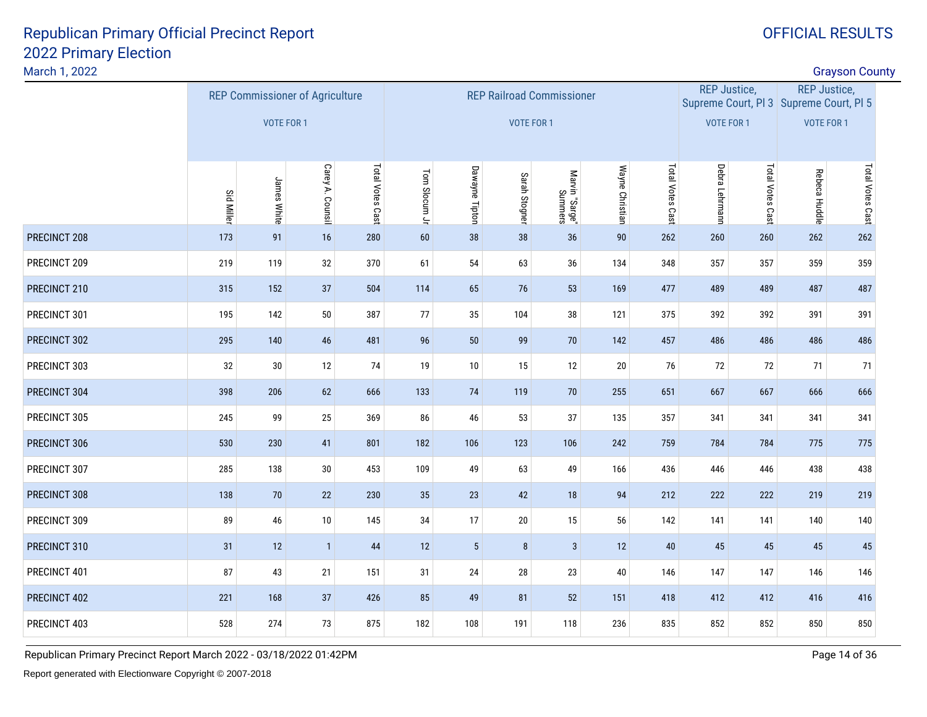March 1, 2022

| March 1, 2022 |                                                                                                    |                                        |              |     |                     |                 |               |                                  |                 |                  |                     |                  |                                                                | <b>Grayson County</b> |  |
|---------------|----------------------------------------------------------------------------------------------------|----------------------------------------|--------------|-----|---------------------|-----------------|---------------|----------------------------------|-----------------|------------------|---------------------|------------------|----------------------------------------------------------------|-----------------------|--|
|               |                                                                                                    | <b>REP Commissioner of Agriculture</b> |              |     |                     |                 |               | <b>REP Railroad Commissioner</b> |                 |                  | <b>REP Justice,</b> |                  | <b>REP Justice,</b><br>Supreme Court, PI 3 Supreme Court, PI 5 |                       |  |
|               |                                                                                                    | VOTE FOR 1                             |              |     |                     |                 |               | <b>VOTE FOR 1</b>                |                 |                  | <b>VOTE FOR 1</b>   |                  | <b>VOTE FOR 1</b>                                              |                       |  |
|               | Total Votes Cast<br>Carey A. Counsil<br>James White<br>Sid Miller<br>173<br>91<br>16<br>280<br>119 |                                        |              |     |                     | Dawayne Tipton  | Sarah Stogner | Marvin "Sarge"<br>Summers        | Wayne Christian | Total Votes Cast | Debra Lehrmann      | Total Votes Cast | Rebeca Huddle                                                  | Total Votes Cast      |  |
| PRECINCT 208  |                                                                                                    |                                        |              |     | Tom Slocum Jr<br>60 | 38              | 38            | 36                               | 90              | 262              | 260                 | 260              | 262                                                            | 262                   |  |
| PRECINCT 209  | 219                                                                                                |                                        | 32           | 370 | 61                  | 54              | 63            | 36                               | 134             | 348              | 357                 | 357              | 359                                                            | 359                   |  |
| PRECINCT 210  | 315                                                                                                | 152                                    | 37           | 504 | 114                 | 65              | $76$          | 53                               | 169             | 477              | 489                 | 489              | 487                                                            | 487                   |  |
| PRECINCT 301  | 195                                                                                                | 142                                    | $50\,$       | 387 | 77                  | 35              | 104           | 38                               | 121             | 375              | 392                 | 392              | 391                                                            | 391                   |  |
| PRECINCT 302  | 295                                                                                                | 140                                    | 46           | 481 | 96                  | 50              | 99            | 70                               | 142             | 457              | 486                 | 486              | 486                                                            | 486                   |  |
| PRECINCT 303  | 32                                                                                                 | 30                                     | 12           | 74  | 19                  | 10              | 15            | 12                               | 20              | 76               | 72                  | 72               | 71                                                             | 71                    |  |
| PRECINCT 304  | 398                                                                                                | 206                                    | 62           | 666 | 133                 | 74              | 119           | $70$                             | 255             | 651              | 667                 | 667              | 666                                                            | 666                   |  |
| PRECINCT 305  | 245                                                                                                | 99                                     | 25           | 369 | 86                  | 46              | 53            | 37                               | 135             | 357              | 341                 | 341              | 341                                                            | 341                   |  |
| PRECINCT 306  | 530                                                                                                | 230                                    | 41           | 801 | 182                 | 106             | 123           | 106                              | 242             | 759              | 784                 | 784              | 775                                                            | 775                   |  |
| PRECINCT 307  | 285                                                                                                | 138                                    | 30           | 453 | 109                 | 49              | 63            | 49                               | 166             | 436              | 446                 | 446              | 438                                                            | 438                   |  |
| PRECINCT 308  | 138                                                                                                | 70                                     | 22           | 230 | 35                  | 23              | 42            | 18                               | 94              | 212              | 222                 | 222              | 219                                                            | 219                   |  |
| PRECINCT 309  | 89                                                                                                 | 46                                     | $10\,$       | 145 | $34\,$              | 17              | $20\,$        | 15                               | 56              | 142              | 141                 | 141              | 140                                                            | 140                   |  |
| PRECINCT 310  | 31                                                                                                 | 12                                     | $\mathbf{1}$ | 44  | 12                  | $5\phantom{.0}$ | 8             | $\mathbf{3}$                     | 12              | $40\,$           | 45                  | 45               | 45                                                             | 45                    |  |
| PRECINCT 401  | 87                                                                                                 | 43                                     | 21           | 151 | 31                  | 24              | $28\,$        | 23                               | 40              | 146              | 147                 | 147              | 146                                                            | 146                   |  |
| PRECINCT 402  | 221                                                                                                | 168                                    | 37           | 426 | 85                  | 49              | 81            | 52                               | 151             | 418              | 412                 | 412              | 416                                                            | 416                   |  |
| PRECINCT 403  | 528                                                                                                | 274                                    | 73           | 875 | 182                 | 108             | 191           | 118                              | 236             | 835              | 852                 | 852              | 850                                                            | 850                   |  |
|               |                                                                                                    |                                        |              |     |                     |                 |               |                                  |                 |                  |                     |                  |                                                                |                       |  |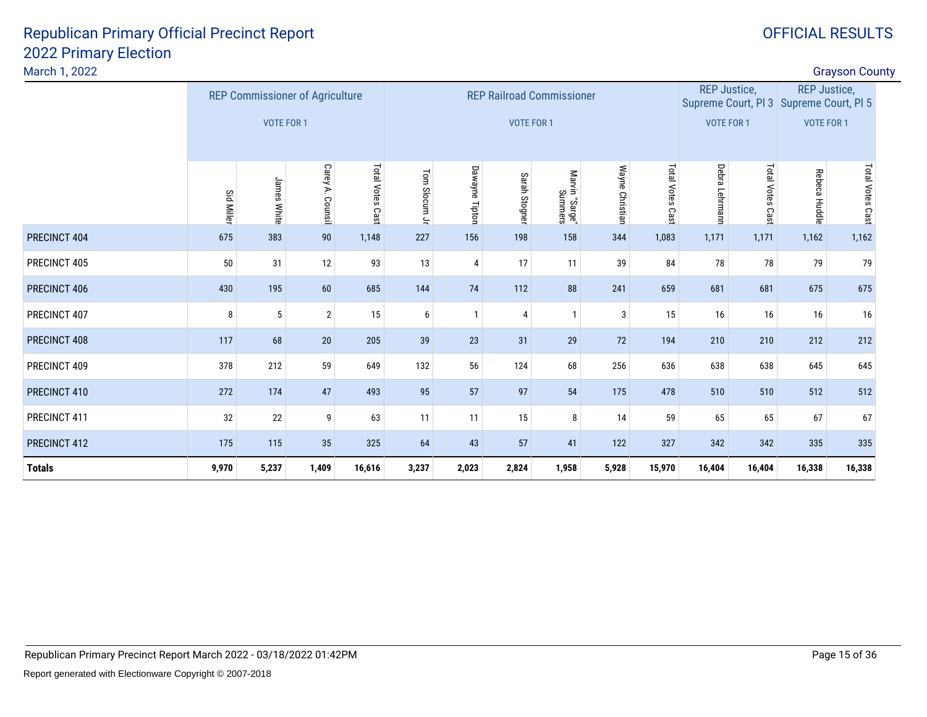| March 1, 2022 |                   |                                        |                  |                  |               |                |               |                                  |                 |                  |                     |                  |                                                                | <b>Grayson County</b> |  |
|---------------|-------------------|----------------------------------------|------------------|------------------|---------------|----------------|---------------|----------------------------------|-----------------|------------------|---------------------|------------------|----------------------------------------------------------------|-----------------------|--|
|               |                   | <b>REP Commissioner of Agriculture</b> |                  |                  |               |                |               | <b>REP Railroad Commissioner</b> |                 |                  | <b>REP Justice,</b> |                  | <b>REP Justice,</b><br>Supreme Court, PI 3 Supreme Court, PI 5 |                       |  |
|               |                   | VOTE FOR 1                             |                  |                  |               |                | VOTE FOR 1    |                                  |                 |                  | VOTE FOR 1          |                  | VOTE FOR 1                                                     |                       |  |
|               | <b>Sid Miller</b> | James White                            | Carey A. Counsil | Total Votes Cast | Tom Slocum Jr | Dawayne Tipton | Sarah Stogner | Marvin "Sarge"<br>Summers        | Wayne Christian | Total Votes Cast | Debra<br>Lehrmann   | Total Votes Cast | Rebeca Huddle                                                  | Total Votes Cast      |  |
| PRECINCT 404  | 675               | 383                                    | $90\,$           | 1,148            | 227           | 156            | 198           | 158                              | 344             | 1,083            | 1,171               | 1,171            | 1,162                                                          | 1,162                 |  |
| PRECINCT 405  | 50                | 31                                     | 12               | 93               | 13            | 4              | 17            | 11                               | 39              | 84               | 78                  | 78               | 79                                                             | 79                    |  |
| PRECINCT 406  | 430               | 195                                    | 60               | 685              | 144           | 74             | 112           | 88                               | 241             | 659              | 681                 | 681              | 675                                                            | 675                   |  |
| PRECINCT 407  | 8                 | 5                                      | $\overline{2}$   | 15               | 6             | $\mathbf{1}$   | 4             | $\mathbf{1}$                     | 3               | 15               | 16                  | 16               | 16                                                             | 16                    |  |
| PRECINCT 408  | 117               | 68                                     | 20               | 205              | 39            | 23             | 31            | 29                               | 72              | 194              | 210                 | 210              | 212                                                            | 212                   |  |
| PRECINCT 409  | 378               | 212                                    | 59               | 649              | 132           | 56             | 124           | 68                               | 256             | 636              | 638                 | 638              | 645                                                            | 645                   |  |
| PRECINCT 410  | 272               | 174                                    | 47               | 493              | 95            | 57             | 97            | 54                               | 175             | 478              | 510                 | 510              | 512                                                            | 512                   |  |
| PRECINCT 411  | 32                | 22                                     | 9                | 63               | 11            | 11             | 15            | 8                                | 14              | 59               | 65                  | 65               | 67                                                             | 67                    |  |
| PRECINCT 412  | 175               | 115                                    | 35               | 325              | 64            | 43             | 57            | 41                               | 122             | 327              | 342                 | 342              | 335                                                            | 335                   |  |
| <b>Totals</b> | 9,970             | 5,237                                  | 1,409            | 16,616           | 3,237         | 2,023          | 2,824         | 1,958                            | 5,928           | 15,970           | 16,404              | 16,404           | 16,338                                                         | 16,338                |  |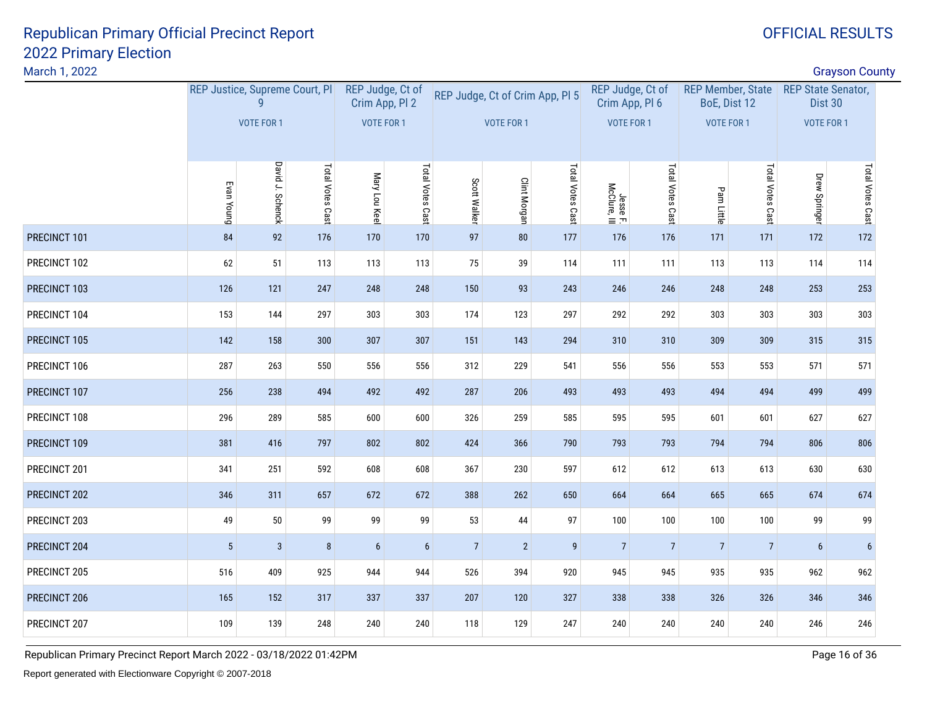March 1, 2022

|                               |              |                                |                                                    |     |                                                         | VOTE FOR 1        |              |                  |                                                             |                                                         |                |                                                               |                |                                                                                    |
|-------------------------------|--------------|--------------------------------|----------------------------------------------------|-----|---------------------------------------------------------|-------------------|--------------|------------------|-------------------------------------------------------------|---------------------------------------------------------|----------------|---------------------------------------------------------------|----------------|------------------------------------------------------------------------------------|
| Evan Young<br>84<br>92<br>176 |              | Mary Lou Keel                  | Total Votes Cast                                   |     | <b>Clint Morgan</b>                                     | Total Votes Cast  |              | Total Votes Cast |                                                             | Total Votes Cast                                        | Drew Springer  | Total Votes Cast                                              |                |                                                                                    |
|                               |              |                                | 170                                                | 170 | 97                                                      | 80                | 177          | 176              | 176                                                         | 171                                                     | 171            | 172                                                           | 172            |                                                                                    |
| 62                            | 51           | 113                            | 113                                                | 113 | 75                                                      | 39                | 114          | 111              | 111                                                         | 113                                                     | 113            | 114                                                           | 114            |                                                                                    |
| 126                           | 121          | 247                            | 248                                                | 248 | 150                                                     | 93                | 243          | 246              | 246                                                         | 248                                                     | 248            | 253                                                           | 253            |                                                                                    |
| 153                           | 144          | 297                            | 303                                                | 303 | 174                                                     | 123               | 297          | 292              | 292                                                         | 303                                                     | 303            | 303                                                           | 303            |                                                                                    |
| 142                           | 158          | 300                            | 307                                                | 307 | 151                                                     | 143               | 294          | 310              | 310                                                         | 309                                                     | 309            | 315                                                           | 315            |                                                                                    |
| 287                           | 263          | 550                            | 556                                                | 556 | 312                                                     | 229               | 541          | 556              | 556                                                         | 553                                                     | 553            | 571                                                           | 571            |                                                                                    |
| 256                           | 238          | 494                            | 492                                                |     | 287                                                     | 206               | 493          | 493              | 493                                                         | 494                                                     | 494            | 499                                                           | 499            |                                                                                    |
| 296                           | 289          | 585                            | 600                                                | 600 | 326                                                     | 259               | 585          | 595              | 595                                                         | 601                                                     | 601            | 627                                                           | 627            |                                                                                    |
| 381                           | 416          | 797                            | 802                                                |     | 424                                                     | 366               | 790          | 793              | 793                                                         | 794                                                     | 794            | 806                                                           | 806            |                                                                                    |
| 341                           | 251          | 592                            | 608                                                | 608 | 367                                                     | 230               | 597          | 612              | 612                                                         | 613                                                     | 613            | 630                                                           | 630            |                                                                                    |
| 346                           | 311          | 657                            | 672                                                |     | 388                                                     | 262               | 650          | 664              | 664                                                         | 665                                                     | 665            | 674                                                           | 674            |                                                                                    |
| 49                            | $50\,$       | 99                             | 99                                                 | 99  | 53                                                      | 44                | 97           | 100              | 100                                                         | 100                                                     | 100            | 99                                                            | 99             |                                                                                    |
| $5\phantom{.0}$               | $\mathbf{3}$ | $\bf 8$                        | $6\phantom{.}6$                                    | 6   | $\overline{7}$                                          | $\overline{2}$    | 9            | $\overline{7}$   | $\overline{7}$                                              | $\overline{7}$                                          | $\overline{7}$ | $6\phantom{1}$                                                | $6\phantom{1}$ |                                                                                    |
| 516                           | 409          | 925                            | 944                                                | 944 | 526                                                     | 394               | 920          | 945              | 945                                                         | 935                                                     | 935            | 962                                                           | 962            |                                                                                    |
| 165                           | 152          | 317                            | 337                                                | 337 | 207                                                     | 120               | 327          | 338              | 338                                                         | 326                                                     | 326            | 346                                                           | 346            |                                                                                    |
| 109                           | 139          | 248                            | 240                                                | 240 | 118                                                     | 129               | 247          | 240              | 240                                                         | 240                                                     | 240            | 246                                                           | 246            |                                                                                    |
|                               |              | VOTE FOR 1<br>David J. Schenck | REP Justice, Supreme Court, Pl<br>Total Votes Cast |     | REP Judge, Ct of<br>Crim App, Pl 2<br><b>VOTE FOR 1</b> | 492<br>802<br>672 | Scott Walker |                  | REP Judge, Ct of Crim App, Pl 5<br>Jesse F.<br>McClure, III | REP Judge, Ct of<br>Crim App, Pl 6<br><b>VOTE FOR 1</b> | Pam Little     | <b>REP Member, State</b><br>BoE, Dist 12<br><b>VOTE FOR 1</b> |                | <b>Grayson County</b><br><b>REP State Senator,</b><br>Dist 30<br><b>VOTE FOR 1</b> |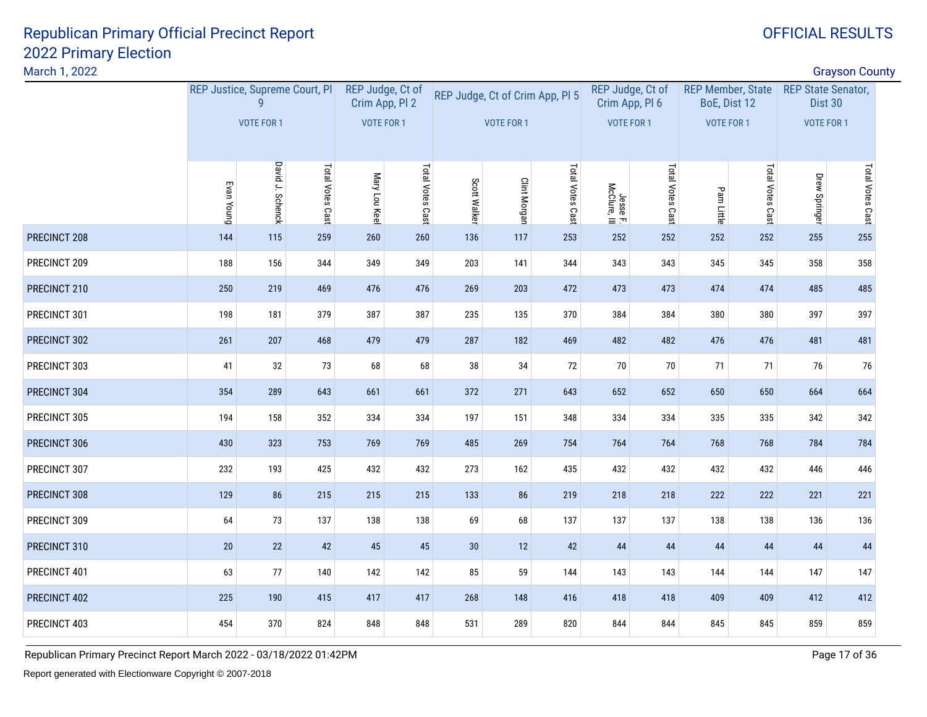March 1, 2022

|                                 |     |                                |                                                    |              |                                                         |                  |            |                  |                                                             |                                                         |               |                                                               | <b>Grayson County</b> |                                                           |
|---------------------------------|-----|--------------------------------|----------------------------------------------------|--------------|---------------------------------------------------------|------------------|------------|------------------|-------------------------------------------------------------|---------------------------------------------------------|---------------|---------------------------------------------------------------|-----------------------|-----------------------------------------------------------|
|                                 |     |                                |                                                    |              |                                                         |                  |            |                  |                                                             |                                                         |               |                                                               |                       |                                                           |
|                                 |     |                                |                                                    |              |                                                         |                  |            |                  |                                                             |                                                         |               |                                                               |                       |                                                           |
| Evan Young<br>144<br>115<br>259 |     | Mary Lou Keel                  | Total Votes Cast                                   | Scott Walker | <b>Clint Morgan</b>                                     | Total Votes Cast |            | Total Votes Cast | Pam Little                                                  | Total Votes Cast                                        | Drew Springer | Total Votes Cast                                              |                       |                                                           |
|                                 |     |                                | 260                                                | 260          | 136                                                     | 117              | 253        | 252              | 252                                                         | 252                                                     | 252           | 255                                                           | 255                   |                                                           |
| 188                             | 156 | 344                            | 349                                                | 349          | 203                                                     | 141              | 344        | 343              | 343                                                         | 345                                                     | 345           | 358                                                           | 358                   |                                                           |
| 250                             | 219 | 469                            | 476                                                | 476          | 269                                                     | 203              | 472        | 473              | 473                                                         | 474                                                     | 474           | 485                                                           | 485                   |                                                           |
| 198                             | 181 | 379                            | 387                                                | 387          | 235                                                     | 135              | 370        | 384              | 384                                                         | 380                                                     | 380           | 397                                                           | 397                   |                                                           |
| 261                             | 207 | 468                            | 479                                                | 479          | 287                                                     | 182              | 469        | 482              | 482                                                         | 476                                                     | 476           | 481                                                           | 481                   |                                                           |
| 41                              | 32  | 73                             | 68                                                 | 68           | 38                                                      | 34               | 72         | 70               | $70\,$                                                      | 71                                                      | 71            | 76                                                            | 76                    |                                                           |
| 354                             | 289 | 643                            | 661                                                | 661          | 372                                                     | 271              | 643        | 652              | 652                                                         | 650                                                     | 650           | 664                                                           | 664                   |                                                           |
| 194                             | 158 | 352                            | 334                                                | 334          | 197                                                     | 151              | 348        | 334              | 334                                                         | 335                                                     | 335           | 342                                                           | 342                   |                                                           |
| 430                             | 323 | 753                            | 769                                                | 769          | 485                                                     | 269              | 754        | 764              | 764                                                         | 768                                                     | 768           | 784                                                           | 784                   |                                                           |
| 232                             | 193 | 425                            | 432                                                |              | 273                                                     | 162              | 435        | 432              | 432                                                         | 432                                                     | 432           | 446                                                           | 446                   |                                                           |
| 129                             | 86  | 215                            | 215                                                | 215          | 133                                                     | 86               | 219        | 218              | 218                                                         | 222                                                     | 222           | 221                                                           | 221                   |                                                           |
| 64                              | 73  | 137                            | 138                                                | 138          | 69                                                      | 68               | 137        | 137              | 137                                                         | 138                                                     | 138           | 136                                                           | 136                   |                                                           |
| 20                              | 22  | 42                             | 45                                                 | 45           | 30                                                      | 12               | 42         | 44               | 44                                                          | 44                                                      | 44            | 44                                                            | 44                    |                                                           |
| 63                              | 77  | 140                            | 142                                                | 142          | 85                                                      | 59               | 144        | 143              | 143                                                         | 144                                                     | 144           | 147                                                           | 147                   |                                                           |
| 225                             | 190 | 415                            | 417                                                | 417          | 268                                                     | 148              | 416        | 418              | 418                                                         | 409                                                     | 409           | 412                                                           | 412                   |                                                           |
| 454                             | 370 | 824                            | 848                                                | 848          | 531                                                     | 289              | 820        | 844              | 844                                                         | 845                                                     | 845           | 859                                                           | 859                   |                                                           |
|                                 |     | VOTE FOR 1<br>David J. Schenck | REP Justice, Supreme Court, Pl<br>Total Votes Cast |              | REP Judge, Ct of<br>Crim App, Pl 2<br><b>VOTE FOR 1</b> | 432              | VOTE FOR 1 |                  | REP Judge, Ct of Crim App, Pl 5<br>Jesse F.<br>McClure, III | REP Judge, Ct of<br>Crim App, Pl 6<br><b>VOTE FOR 1</b> |               | <b>REP Member, State</b><br>BoE, Dist 12<br><b>VOTE FOR 1</b> |                       | <b>REP State Senator,</b><br>Dist 30<br><b>VOTE FOR 1</b> |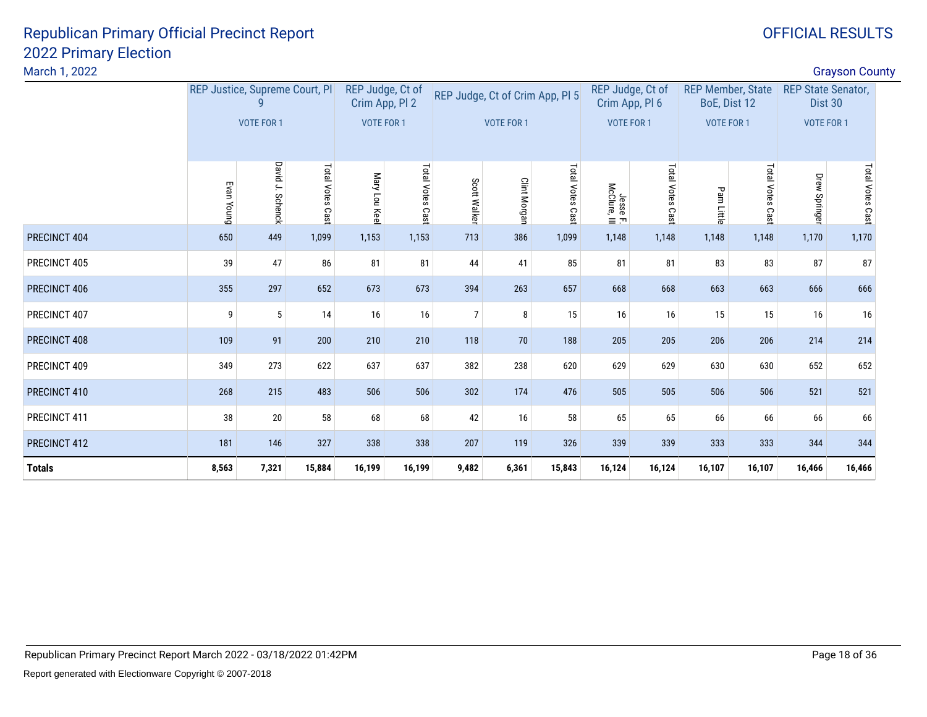| March 1, 2022 |                                |                  |                            |                                    |                  |                |                                 |                  |                          |                                    |                                          |                  |                                      | <b>Grayson County</b> |  |
|---------------|--------------------------------|------------------|----------------------------|------------------------------------|------------------|----------------|---------------------------------|------------------|--------------------------|------------------------------------|------------------------------------------|------------------|--------------------------------------|-----------------------|--|
|               | REP Justice, Supreme Court, Pl |                  |                            | REP Judge, Ct of<br>Crim App, PI 2 |                  |                | REP Judge, Ct of Crim App, Pl 5 |                  |                          | REP Judge, Ct of<br>Crim App, Pl 6 | <b>REP Member, State</b><br>BoE, Dist 12 |                  | <b>REP State Senator,</b><br>Dist 30 |                       |  |
|               |                                | VOTE FOR 1       |                            | VOTE FOR 1                         |                  |                | <b>VOTE FOR 1</b>               |                  | VOTE FOR 1               |                                    | <b>VOTE FOR 1</b>                        |                  | VOTE FOR 1                           |                       |  |
|               | Evan Young                     | David J. Schenck | <b>Total Votes</b><br>Cast | Mary Lou Keel                      | Total Votes Cast | Scott Walker   | <b>Clint Morgan</b>             | Total Votes Cast | Jesse F.<br>McClure, III | Total Votes Cast                   | Pam Little                               | Total Votes Cast | Drew Springer                        | Total Votes Cast      |  |
| PRECINCT 404  | 650                            | 449              | 1,099                      | 1,153                              | 1,153            | 713            | 386                             | 1,099            | 1,148                    | 1,148                              | 1,148                                    | 1,148            | 1,170                                | 1,170                 |  |
| PRECINCT 405  | 39                             | 47               | 86                         | 81                                 | 81               | 44             | 41                              | 85               | 81                       | 81                                 | 83                                       | 83               | 87                                   | 87                    |  |
| PRECINCT 406  | 355                            | 297              | 652                        | 673                                | 673              | 394            | 263                             | 657              | 668                      | 668                                | 663                                      | 663              | 666                                  | 666                   |  |
| PRECINCT 407  | 9                              | 5                | 14                         | 16                                 | 16               | $\overline{7}$ | 8                               | 15               | 16                       | 16                                 | 15                                       | 15               | 16                                   | 16                    |  |
| PRECINCT 408  | 109                            | 91               | 200                        | 210                                | 210              | 118            | 70                              | 188              | 205                      | 205                                | 206                                      | 206              | 214                                  | 214                   |  |
| PRECINCT 409  | 349                            | 273              | 622                        | 637                                | 637              | 382            | 238                             | 620              | 629                      | 629                                | 630                                      | 630              | 652                                  | 652                   |  |
| PRECINCT 410  | 268                            | 215              | 483                        | 506                                | 506              | 302            | 174                             | 476              | 505                      | 505                                | 506                                      | 506              | 521                                  | 521                   |  |
| PRECINCT 411  | 38                             | 20               | 58                         | 68                                 | 68               | 42             | 16                              | 58               | 65                       | 65                                 | 66                                       | 66               | 66                                   | 66                    |  |
| PRECINCT 412  | 181                            | 146              | 327                        | 338                                | 338              | 207            | 119                             | 326              | 339                      | 339                                | 333                                      | 333              | 344                                  | 344                   |  |
| <b>Totals</b> | 8,563                          | 7,321            | 15,884                     | 16,199                             | 16,199           | 9,482          | 6,361                           | 15,843           | 16,124                   | 16,124                             | 16,107                                   | 16,107           | 16,466                               | 16,466                |  |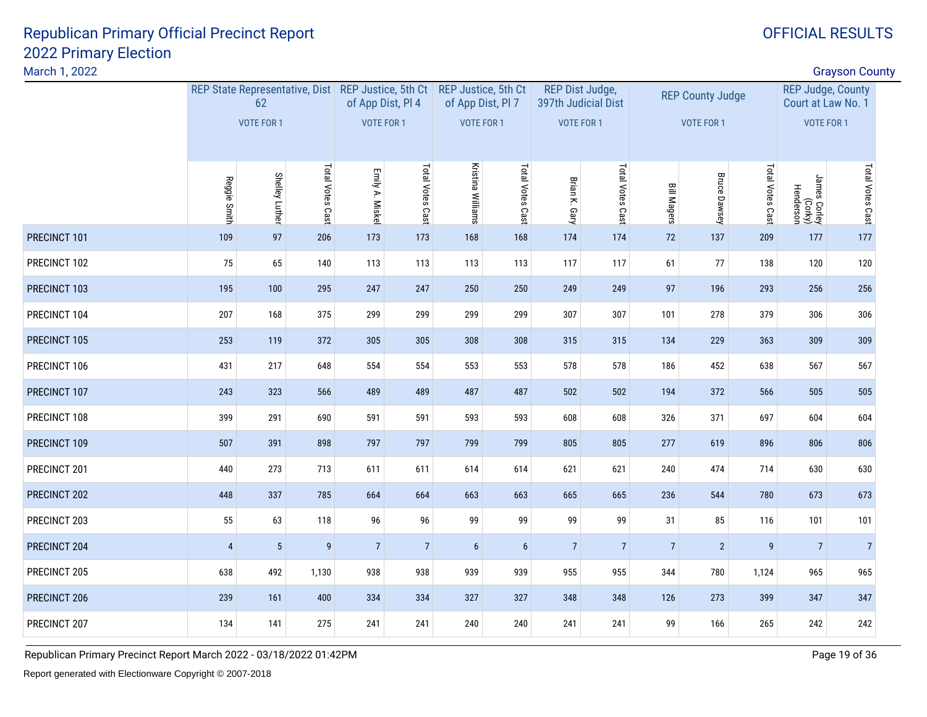March 1, 2022

| March 1, 2022 |                |                       |                  |                                                                         |                  |                                                 |                  |                                               |                  |                    |                         |                  |                                                | <b>Grayson County</b> |  |
|---------------|----------------|-----------------------|------------------|-------------------------------------------------------------------------|------------------|-------------------------------------------------|------------------|-----------------------------------------------|------------------|--------------------|-------------------------|------------------|------------------------------------------------|-----------------------|--|
|               |                | 62                    |                  | REP State Representative, Dist REP Justice, 5th Ct<br>of App Dist, Pl 4 |                  | <b>REP Justice, 5th Ct</b><br>of App Dist, Pl 7 |                  | <b>REP Dist Judge,</b><br>397th Judicial Dist |                  |                    | <b>REP County Judge</b> |                  | <b>REP Judge, County</b><br>Court at Law No. 1 |                       |  |
|               |                | VOTE FOR 1            |                  | <b>VOTE FOR 1</b>                                                       |                  | VOTE FOR 1                                      |                  | <b>VOTE FOR 1</b>                             |                  |                    | <b>VOTE FOR 1</b>       |                  | <b>VOTE FOR 1</b>                              |                       |  |
|               | Reggie Smith   | <b>Shelley Luther</b> | Total Votes Cast | Emily A. Miskel                                                         | Total Votes Cast | Kristina Williams                               | Total Votes Cast | Brian K. Gary                                 | Total Votes Cast | <b>Bill Magers</b> | <b>Bruce Dawsey</b>     | Total Votes Cast | James Corley<br>(Corky)<br>Henderson           | Total Votes Cast      |  |
| PRECINCT 101  | 109            | 97                    | 206              | 173                                                                     | 173              | 168                                             | 168              | 174                                           | 174              | 72                 | 137                     | 209              | 177                                            | 177                   |  |
| PRECINCT 102  | $75\,$         | 65                    | 140              | 113                                                                     | 113              | 113                                             | 113              | 117                                           | 117              | 61                 | $77$                    | 138              | 120                                            | 120                   |  |
| PRECINCT 103  | 195            | 100                   | 295              | 247                                                                     | 247              | 250                                             | 250              | 249                                           | 249              | 97                 | 196                     | 293              | 256                                            | 256                   |  |
| PRECINCT 104  | 207            | 168                   | 375              | 299                                                                     | 299              | 299                                             | 299              | 307                                           | 307              | 101                | 278                     | 379              | 306                                            | 306                   |  |
| PRECINCT 105  | 253            | 119                   | 372              | 305                                                                     | 305              | 308                                             | 308              | 315                                           | 315              | 134                | 229                     | 363              | 309                                            | 309                   |  |
| PRECINCT 106  | 431            | 217                   | 648              | 554                                                                     | 554              | 553                                             | 553              | 578                                           | 578              | 186                | 452                     | 638              | 567                                            | 567                   |  |
| PRECINCT 107  | 243            | 323                   | 566              | 489                                                                     | 489              | 487                                             | 487              | 502                                           | 502              | 194                | 372                     | 566              | 505                                            | 505                   |  |
| PRECINCT 108  | 399            | 291                   | 690              | 591                                                                     | 591              | 593                                             | 593              | 608                                           | 608              | 326                | 371                     | 697              | 604                                            | 604                   |  |
| PRECINCT 109  | 507            | 391                   | 898              | 797                                                                     | 797              | 799                                             | 799              | 805                                           | 805              | 277                | 619                     | 896              | 806                                            | 806                   |  |
| PRECINCT 201  | 440            | 273                   | 713              | 611                                                                     | 611              | 614                                             | 614              | 621                                           | 621              | 240                | 474                     | 714              | 630                                            | 630                   |  |
| PRECINCT 202  | 448            | 337                   | 785              | 664                                                                     | 664              | 663                                             | 663              | 665                                           | 665              | 236                | 544                     | 780              | 673                                            | 673                   |  |
| PRECINCT 203  | 55             | 63                    | 118              | 96                                                                      | 96               | 99                                              | 99               | 99                                            | 99               | 31                 | 85                      | 116              | 101                                            | 101                   |  |
| PRECINCT 204  | $\overline{4}$ | $5\phantom{.0}$       | $\overline{9}$   | $7\overline{ }$                                                         | $\overline{7}$   | $6\phantom{1}$                                  | $6\phantom{.}6$  | $\overline{7}$                                | $\overline{7}$   | $\overline{7}$     | $\overline{2}$          | $\overline{9}$   | $\overline{7}$                                 | $\overline{7}$        |  |
| PRECINCT 205  | 638            | 492                   | 1,130            | 938                                                                     | 938              | 939                                             | 939              | 955                                           | 955              | 344                | 780                     | 1,124            | 965                                            | 965                   |  |
| PRECINCT 206  | 239            | 161                   | 400              | 334                                                                     | 334              | 327                                             | 327              | 348                                           | 348              | 126                | 273                     | 399              | 347                                            | 347                   |  |
| PRECINCT 207  | 134            | 141                   | 275              | 241                                                                     | 241              | 240                                             | 240              | 241                                           | 241              | 99                 | 166                     | 265              | 242                                            | 242                   |  |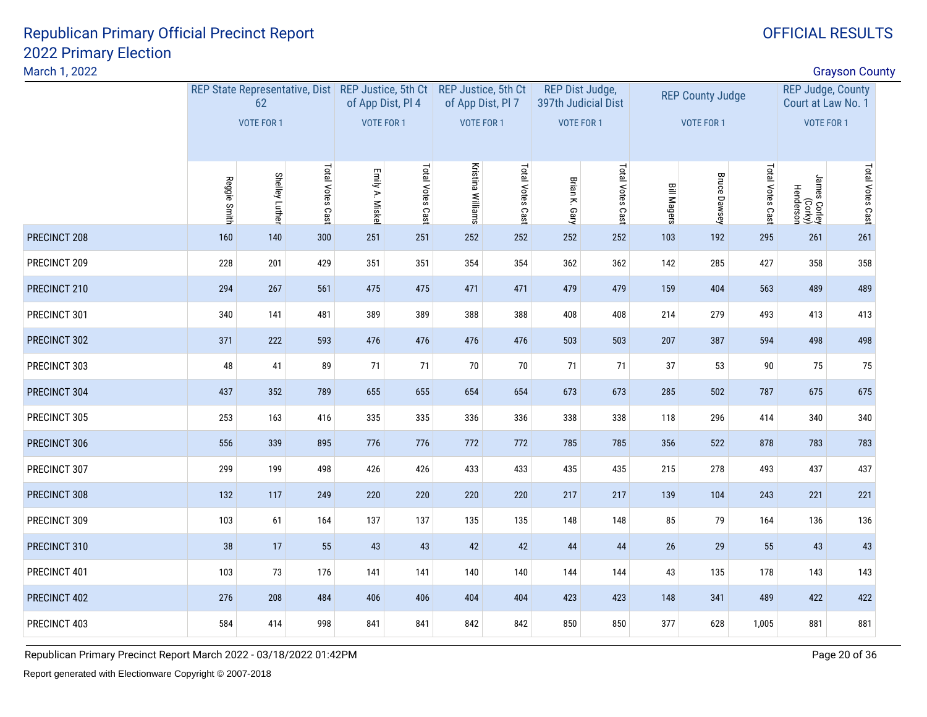| March 1, 2022 |              |                                                          |                  |                 |                   |                                          |                  |                 |                     |                    | <b>Grayson County</b>   |                  |                                                |                  |  |
|---------------|--------------|----------------------------------------------------------|------------------|-----------------|-------------------|------------------------------------------|------------------|-----------------|---------------------|--------------------|-------------------------|------------------|------------------------------------------------|------------------|--|
|               |              | REP State Representative, Dist REP Justice, 5th Ct<br>62 |                  |                 | of App Dist, Pl 4 | REP Justice, 5th Ct<br>of App Dist, Pl 7 |                  | REP Dist Judge, | 397th Judicial Dist |                    | <b>REP County Judge</b> |                  | <b>REP Judge, County</b><br>Court at Law No. 1 |                  |  |
|               |              | VOTE FOR 1                                               |                  |                 | VOTE FOR 1        | VOTE FOR 1                               |                  | VOTE FOR 1      |                     |                    | VOTE FOR 1              |                  | VOTE FOR 1                                     |                  |  |
|               | Reggie Smith | <b>Shelley Luther</b>                                    | Total Votes Cast | Emily A. Miskel | Total Votes Cast  | Kristina Williams                        | Total Votes Cast | Brian K. Gary   | Total Votes Cast    | <b>Bill Magers</b> | <b>Bruce Dawsey</b>     | Total Votes Cast | James Corley<br>(Corky)<br>Henderson           | Total Votes Cast |  |
| PRECINCT 208  | 160          | 140                                                      | 300              | 251             | 251               | 252                                      | 252              | 252             | 252                 | 103                | 192                     | 295              | 261                                            | 261              |  |
| PRECINCT 209  | 228          | 201                                                      | 429              | 351             | 351               | 354                                      | 354              | 362             | 362                 | 142                | 285                     | 427              | 358                                            | 358              |  |
| PRECINCT 210  | 294          | 267                                                      | 561              | 475             | 475               | 471                                      | 471              | 479             | 479                 | 159                | 404                     | 563              | 489                                            | 489              |  |
| PRECINCT 301  | 340          | 141                                                      | 481              | 389             | 389               | 388                                      | 388              | 408             | 408                 | 214                | 279                     | 493              | 413                                            | 413              |  |
| PRECINCT 302  | 371          | 222                                                      | 593              | 476             | 476               | 476                                      | 476              | 503             | 503                 | 207                | 387                     | 594              | 498                                            | 498              |  |
| PRECINCT 303  | 48           | 41                                                       | 89               | 71              | 71                | 70                                       | 70               | 71              | 71                  | 37                 | 53                      | $90\,$           | 75                                             | 75               |  |
| PRECINCT 304  | 437          | 352                                                      | 789              | 655             | 655               | 654                                      | 654              | 673             | 673                 | 285                | 502                     | 787              | 675                                            | 675              |  |
| PRECINCT 305  | 253          | 163                                                      | 416              | 335             | 335               | 336                                      | 336              | 338             | 338                 | 118                | 296                     | 414              | 340                                            | 340              |  |
| PRECINCT 306  | 556          | 339                                                      | 895              | 776             | 776               | 772                                      | 772              | 785             | 785                 | 356                | 522                     | 878              | 783                                            | 783              |  |
| PRECINCT 307  | 299          | 199                                                      | 498              | 426             | 426               | 433                                      | 433              | 435             | 435                 | 215                | 278                     | 493              | 437                                            | 437              |  |
| PRECINCT 308  | 132          | 117                                                      | 249              | 220             | 220               | 220                                      | 220              | 217             | 217                 | 139                | 104                     | 243              | 221                                            | 221              |  |
| PRECINCT 309  | 103          | 61                                                       | 164              | 137             | 137               | 135                                      | 135              | 148             | 148                 | 85                 | 79                      | 164              | 136                                            | 136              |  |
| PRECINCT 310  | 38           | 17                                                       | 55               | 43              | 43                | 42                                       | 42               | 44              | 44                  | 26                 | 29                      | 55               | 43                                             | 43               |  |
| PRECINCT 401  | 103          | 73                                                       | 176              | 141             | 141               | 140                                      | 140              | 144             | 144                 | 43                 | 135                     | 178              | 143                                            | 143              |  |
| PRECINCT 402  | 276          | 208                                                      | 484              | 406             | 406               | 404                                      | 404              | 423             | 423                 | 148                | 341                     | 489              | 422                                            | 422              |  |
| PRECINCT 403  | 584          | 414                                                      | 998              | 841             | 841               | 842                                      | 842              | 850             | 850                 | 377                | 628                     | 1,005            | 881                                            | 881              |  |
|               |              |                                                          |                  |                 |                   |                                          |                  |                 |                     |                    |                         |                  |                                                |                  |  |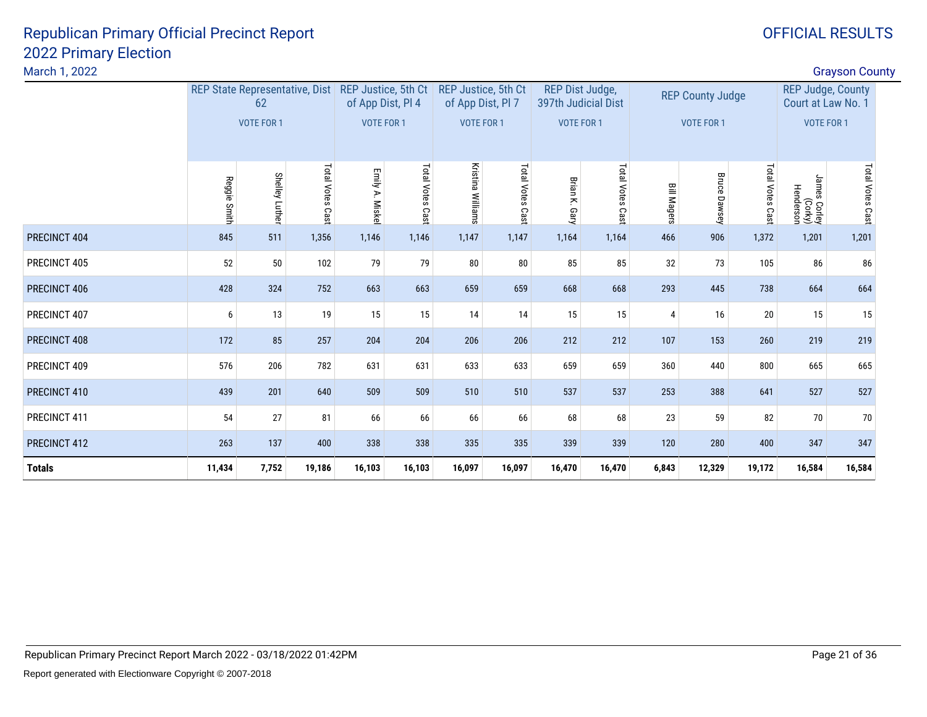| March 1, 2022 |              |                                      |                  |                           |                   |                                          |                     |                                        |                 |                    |                         |                  |                                                | <b>Grayson County</b> |  |
|---------------|--------------|--------------------------------------|------------------|---------------------------|-------------------|------------------------------------------|---------------------|----------------------------------------|-----------------|--------------------|-------------------------|------------------|------------------------------------------------|-----------------------|--|
|               |              | REP State Representative, Dist<br>62 |                  | REP Justice, 5th Ct       | of App Dist, PI 4 | REP Justice, 5th Ct<br>of App Dist, Pl 7 |                     | REP Dist Judge,<br>397th Judicial Dist |                 |                    | <b>REP County Judge</b> |                  | <b>REP Judge, County</b><br>Court at Law No. 1 |                       |  |
|               |              | VOTE FOR 1                           |                  | VOTE FOR 1                |                   | VOTE FOR 1                               |                     | <b>VOTE FOR 1</b>                      |                 |                    | VOTE FOR 1              |                  | <b>VOTE FOR 1</b>                              |                       |  |
|               | Reggie Smith | <b>Shelley Luthe</b>                 | Total Votes Cast | Emily A.<br><b>Miskel</b> | Total Votes Cast  | Kristina<br>Williams                     | Total Votes<br>Cast | Brian<br>$\geq$<br>Gary                | Total Votes Cas | <b>Bill Magers</b> | <b>Bruce Dawsey</b>     | Total Votes Cast | James Corley<br>(Vorky)<br>Henderson           | Total Votes Cast      |  |
| PRECINCT 404  | 845          | 511                                  | 1,356            | 1,146                     | 1,146             | 1,147                                    | 1,147               | 1,164                                  | 1,164           | 466                | 906                     | 1,372            | 1,201                                          | 1,201                 |  |
| PRECINCT 405  | 52           | 50                                   | 102              | 79                        | 79                | 80                                       | 80                  | 85                                     | 85              | 32                 | 73                      | 105              | 86                                             | 86                    |  |
| PRECINCT 406  | 428          | 324                                  | 752              | 663                       | 663               | 659                                      | 659                 | 668                                    | 668             | 293                | 445                     | 738              | 664                                            | 664                   |  |
| PRECINCT 407  | 6            | 13                                   | 19               | 15                        | 15                | 14                                       | 14                  | 15                                     | 15              | 4                  | 16                      | 20               | 15                                             | 15                    |  |
| PRECINCT 408  | 172          | 85                                   | 257              | 204                       | 204               | 206                                      | 206                 | 212                                    | 212             | 107                | 153                     | 260              | 219                                            | 219                   |  |
| PRECINCT 409  | 576          | 206                                  | 782              | 631                       | 631               | 633                                      | 633                 | 659                                    | 659             | 360                | 440                     | 800              | 665                                            | 665                   |  |
| PRECINCT 410  | 439          | 201                                  | 640              | 509                       | 509               | 510                                      | 510                 | 537                                    | 537             | 253                | 388                     | 641              | 527                                            | 527                   |  |
| PRECINCT 411  | 54           | 27                                   | 81               | 66                        | 66                | 66                                       | 66                  | 68                                     | 68              | 23                 | 59                      | 82               | 70                                             | 70                    |  |
| PRECINCT 412  | 263          | 137                                  | 400              | 338                       | 338               | 335                                      | 335                 | 339                                    | 339             | 120                | 280                     | 400              | 347                                            | 347                   |  |
| <b>Totals</b> | 11,434       | 7,752                                | 19,186           | 16,103                    | 16,103            | 16,097                                   | 16,097              | 16,470                                 | 16,470          | 6,843              | 12,329                  | 19,172           | 16,584                                         | 16,584                |  |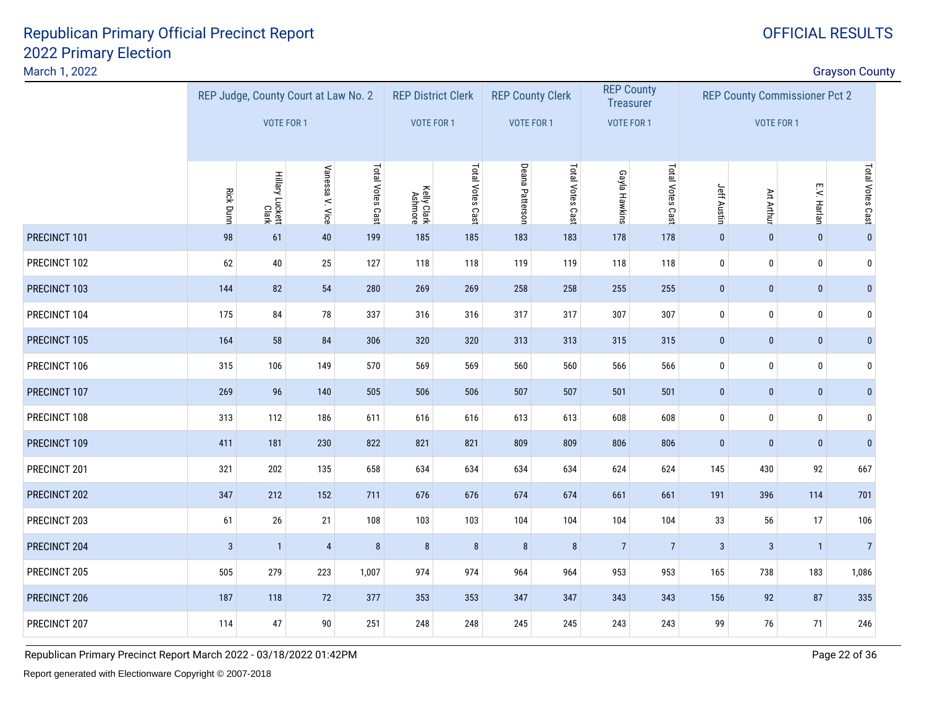#### March 1, 2022

| March 1, 2022 |                  |                                        |                                      |                  |                           |                  |                 |                         |                   |                  |                    |                                      |                | <b>Grayson County</b> |  |
|---------------|------------------|----------------------------------------|--------------------------------------|------------------|---------------------------|------------------|-----------------|-------------------------|-------------------|------------------|--------------------|--------------------------------------|----------------|-----------------------|--|
|               |                  |                                        | REP Judge, County Court at Law No. 2 |                  | <b>REP District Clerk</b> |                  |                 | <b>REP County Clerk</b> | <b>REP County</b> | <b>Treasurer</b> |                    | <b>REP County Commissioner Pct 2</b> |                |                       |  |
|               |                  | VOTE FOR 1                             |                                      |                  | <b>VOTE FOR 1</b>         |                  |                 | <b>VOTE FOR 1</b>       | <b>VOTE FOR 1</b> |                  |                    | <b>VOTE FOR 1</b>                    |                |                       |  |
|               | <b>Rick Dunn</b> | Hillary Luckett<br>Clar <mark>k</mark> | Vanessa V. Vice                      | Total Votes Cast | Kelly Clark<br>Ashmore    | Total Votes Cast | Deana Patterson | Total Votes Cast        | Gayla Hawkins     | Total Votes Cast | <b>Jeff Austin</b> | Art Arthur                           | E.V. Harlan    | Total Votes Cast      |  |
| PRECINCT 101  | 98               | 61                                     | 40                                   | 199              | 185                       | 185              | 183             | 183                     | 178               | 178              | $\mathbf 0$        | $\mathbf{0}$                         | $\pmb{0}$      | $\mathbf{0}$          |  |
| PRECINCT 102  | 62               | $40\,$                                 | 25                                   | 127              | 118                       | 118              | 119             | 119                     | 118               | 118              | $\pmb{0}$          | $\pmb{0}$                            | $\pmb{0}$      | $\Omega$              |  |
| PRECINCT 103  | 144              | 82                                     | 54                                   | 280              | 269                       | 269              | 258             | 258                     | 255               | 255              | $\bf{0}$           | $\pmb{0}$                            | $\bf{0}$       | $\mathbf{0}$          |  |
| PRECINCT 104  | 175              | 84                                     | 78                                   | 337              | 316                       | 316              | 317             | 317                     | 307               | 307              | $\pmb{0}$          | $\pmb{0}$                            | $\pmb{0}$      | 0                     |  |
| PRECINCT 105  | 164              | 58                                     | 84                                   | 306              | 320                       | 320              | 313             | 313                     | 315               | 315              | $\bf{0}$           | $\pmb{0}$                            | $\bf{0}$       | $\mathbf{0}$          |  |
| PRECINCT 106  | 315              | 106                                    | 149                                  | 570              | 569                       | 569              | 560             | 560                     | 566               | 566              | $\pmb{0}$          | $\pmb{0}$                            | $\pmb{0}$      | $\Omega$              |  |
| PRECINCT 107  | 269              | 96                                     | 140                                  | 505              | 506                       | 506              | 507             | 507                     | 501               | 501              | $\pmb{0}$          | $\pmb{0}$                            | $\pmb{0}$      | $\mathbf{0}$          |  |
| PRECINCT 108  | 313              | 112                                    | 186                                  | 611              | 616                       | 616              | 613             | 613                     | 608               | 608              | $\pmb{0}$          | $\pmb{0}$                            | $\pmb{0}$      | 0                     |  |
| PRECINCT 109  | 411              | 181                                    | 230                                  | 822              | 821                       | 821              | 809             | 809                     | 806               | 806              | $\mathbf{0}$       | $\mathbf{0}$                         | $\mathbf{0}$   | $\mathbf{0}$          |  |
| PRECINCT 201  | 321              | 202                                    | 135                                  | 658              | 634                       | 634              | 634             | 634                     | 624               | 624              | 145                | 430                                  | 92             | 667                   |  |
| PRECINCT 202  | 347              | 212                                    | 152                                  | 711              | 676                       | 676              | 674             | 674                     | 661               | 661              | 191                | 396                                  | 114            | 701                   |  |
| PRECINCT 203  | 61               | 26                                     | 21                                   | 108              | 103                       | 103              | 104             | 104                     | 104               | 104              | 33                 | 56                                   | 17             | 106                   |  |
| PRECINCT 204  | $\mathbf{3}$     | $\overline{1}$                         | $\sqrt{4}$                           | $\bf 8$          | 8                         | $\bf 8$          | $\bf 8$         | 8                       | $\overline{7}$    | $\overline{7}$   | $\mathbf{3}$       | $\mathbf{3}$                         | $\overline{1}$ | $\overline{7}$        |  |
| PRECINCT 205  | 505              | 279                                    | 223                                  | 1,007            | 974                       | 974              | 964             | 964                     | 953               | 953              | 165                | 738                                  | 183            | 1,086                 |  |
| PRECINCT 206  | 187              | 118                                    | 72                                   | 377              | 353                       | 353              | 347             | 347                     | 343               | 343              | 156                | 92                                   | 87             | 335                   |  |
| PRECINCT 207  | 114              | 47                                     | $90\,$                               | 251              | 248                       | 248              | 245             | 245                     | 243               | 243              | 99                 | 76                                   | 71             | 246                   |  |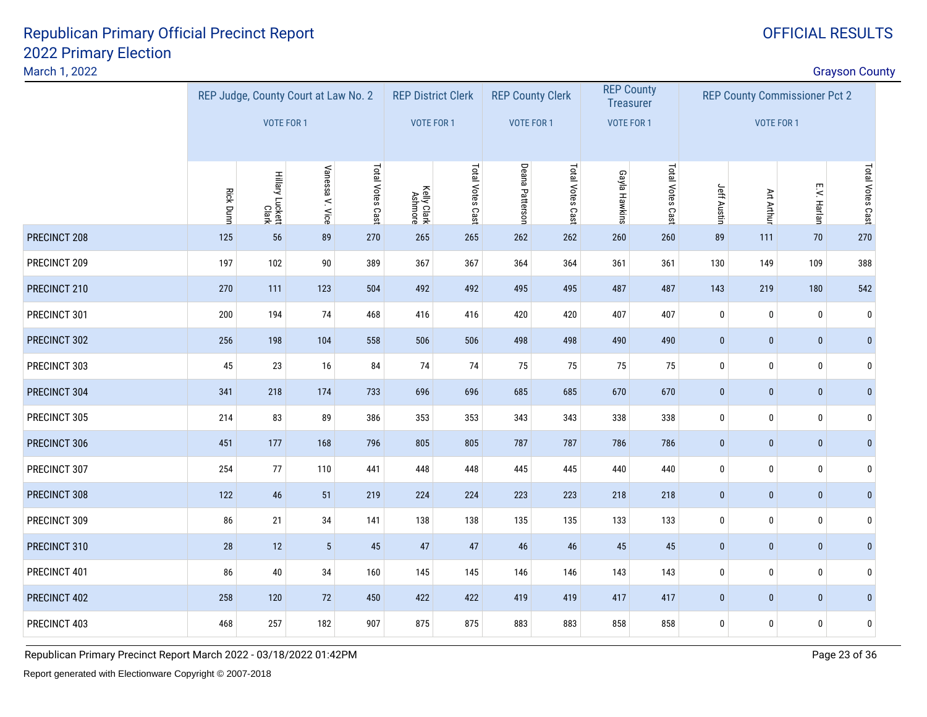#### March 1, 2022

|     |                  |                          | Total Votes Cast |                                                         | Total Votes Cast       |                                         | Total Votes Cast | Gayla Hawkins                                                   | Total Votes Cast | Jeff Austin                                                |           |              |                           |                                                                                   |
|-----|------------------|--------------------------|------------------|---------------------------------------------------------|------------------------|-----------------------------------------|------------------|-----------------------------------------------------------------|------------------|------------------------------------------------------------|-----------|--------------|---------------------------|-----------------------------------------------------------------------------------|
| 125 | 56               | 89                       | 270              | 265                                                     | 265                    | 262                                     | 262              | 260                                                             | 260              | 89                                                         | 111       | 70           | 270                       |                                                                                   |
| 197 | 102              | $90\,$                   | 389              | 367                                                     | 367                    | 364                                     | 364              | 361                                                             | 361              | 130                                                        | 149       | 109          | 388                       |                                                                                   |
| 270 | 111              | 123                      | 504              | 492                                                     | 492                    | 495                                     | 495              | 487                                                             | 487              | 143                                                        | 219       | 180          | 542                       |                                                                                   |
| 200 | 194              | 74                       | 468              | 416                                                     | 416                    | 420                                     | 420              | 407                                                             | 407              | $\mathbf 0$                                                | $\pmb{0}$ | $\pmb{0}$    | $\mathbf{0}$              |                                                                                   |
| 256 | 198              | 104                      | 558              | 506                                                     | 506                    | 498                                     | 498              | 490                                                             | 490              | $\pmb{0}$                                                  | $\pmb{0}$ | $\pmb{0}$    | $\pmb{0}$                 |                                                                                   |
| 45  | 23               | 16                       | 84               | 74                                                      | 74                     | 75                                      | 75               | 75                                                              | 75               | 0                                                          | $\pmb{0}$ | $\bf{0}$     | $\Omega$                  |                                                                                   |
| 341 | 218              | 174                      | 733              | 696                                                     | 696                    | 685                                     | 685              | 670                                                             | 670              | $\pmb{0}$                                                  | $\pmb{0}$ | $\pmb{0}$    | $\mathbf{0}$              |                                                                                   |
| 214 | 83               | 89                       | 386              | 353                                                     | 353                    | 343                                     | 343              | 338                                                             | 338              | $\pmb{0}$                                                  | $\pmb{0}$ | $\mathbf 0$  | $\mathbf{0}$              |                                                                                   |
| 451 | 177              | 168                      | 796              | 805                                                     | 805                    | 787                                     | 787              | 786                                                             | 786              | $\pmb{0}$                                                  | $\pmb{0}$ | $\pmb{0}$    | $\mathbf{0}$              |                                                                                   |
| 254 | 77               | 110                      | 441              | 448                                                     | 448                    | 445                                     | 445              | 440                                                             | 440              | $\mathbf 0$                                                | $\pmb{0}$ | $\mathbf 0$  | $\mathbf{0}$              |                                                                                   |
| 122 | 46               | 51                       | 219              | 224                                                     | 224                    | 223                                     | 223              | 218                                                             | 218              | $\pmb{0}$                                                  | $\pmb{0}$ | $\pmb{0}$    | $\mathbf{0}$              |                                                                                   |
| 86  | 21               | 34                       | 141              | 138                                                     | 138                    | 135                                     | 135              | 133                                                             | 133              | $\pmb{0}$                                                  | $\pmb{0}$ | $\mathbf 0$  | $\Omega$                  |                                                                                   |
| 28  | 12               | $\sqrt{5}$               | 45               | 47                                                      | 47                     | 46                                      | 46               | 45                                                              | 45               | $\pmb{0}$                                                  | $\pmb{0}$ | $\pmb{0}$    | $\mathbf{0}$              |                                                                                   |
| 86  | 40               | 34                       | 160              | 145                                                     | 145                    | 146                                     | 146              | 143                                                             | 143              | $\pmb{0}$                                                  | $\pmb{0}$ | $\pmb{0}$    | $\Omega$                  |                                                                                   |
| 258 | 120              | 72                       | 450              | 422                                                     | 422                    | 419                                     | 419              | 417                                                             | 417              | $\pmb{0}$                                                  | $\pmb{0}$ | $\mathbf{0}$ | $\mathbf{0}$              |                                                                                   |
| 468 | 257              | 182                      | 907              | 875                                                     | 875                    | 883                                     | 883              | 858                                                             | 858              | $\bf{0}$                                                   | $\pmb{0}$ | $\pmb{0}$    | 0                         |                                                                                   |
|     | <b>Rick Dunn</b> | Hillary Luckett<br>Clark | VOTE FOR 1       | REP Judge, County Court at Law No. 2<br>Vanessa V. Vice | Kelly Clark<br>Ashmore | <b>REP District Clerk</b><br>VOTE FOR 1 |                  | <b>REP County Clerk</b><br><b>VOTE FOR 1</b><br>Deana Patterson |                  | <b>REP County</b><br><b>Treasurer</b><br><b>VOTE FOR 1</b> |           | Art Arthur   | VOTE FOR 1<br>E.V. Harlan | <b>Grayson County</b><br><b>REP County Commissioner Pct 2</b><br>Total Votes Cast |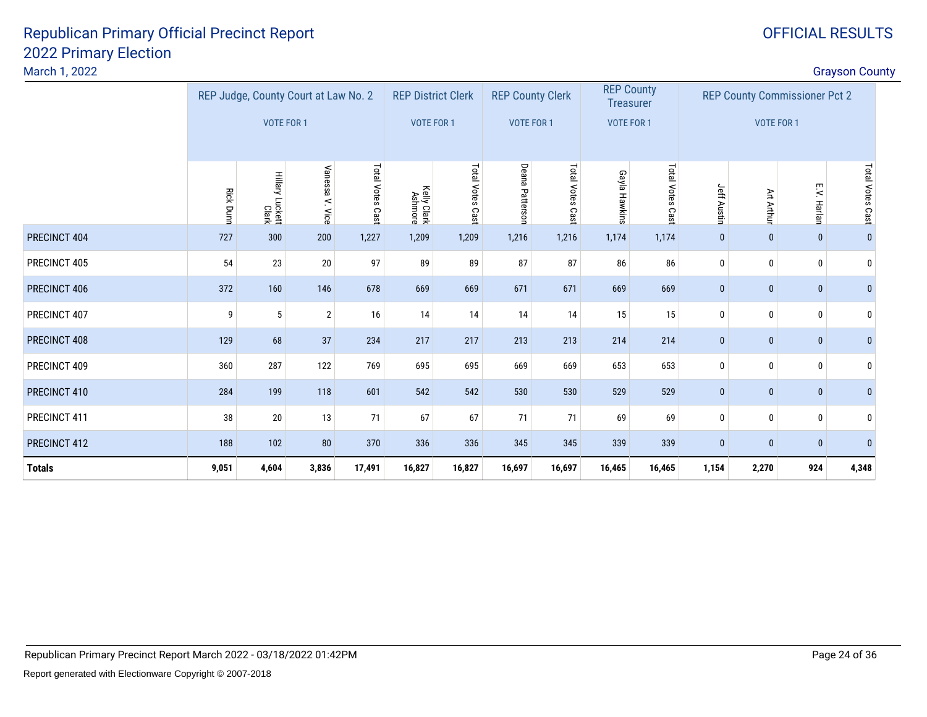#### March 1, 2022

|               |                  | REP Judge, County Court at Law No. 2 |                 |                  | <b>REP District Clerk</b> |                  | <b>REP County Clerk</b> |                  | <b>REP County</b><br><b>Treasurer</b> |                  |              | <b>REP County Commissioner Pct 2</b> |              |                  |
|---------------|------------------|--------------------------------------|-----------------|------------------|---------------------------|------------------|-------------------------|------------------|---------------------------------------|------------------|--------------|--------------------------------------|--------------|------------------|
|               |                  | <b>VOTE FOR 1</b>                    |                 |                  | <b>VOTE FOR 1</b>         |                  | <b>VOTE FOR 1</b>       |                  | VOTE FOR 1                            |                  |              | VOTE FOR 1                           |              |                  |
|               |                  |                                      |                 |                  |                           |                  |                         |                  |                                       |                  |              |                                      |              |                  |
|               | <b>Rick Dunn</b> | Hillary Luckett<br>Clark             | Vanessa V. Vice | Total Votes Cast | Kelly Clark<br>Ashmore    | Total Votes Cast | Deana<br>Patterson      | Total Votes Cast | Gayla Hawkins                         | Total Votes Cast | Jeff Austin  | Art Arthu                            | E.V. Harlan  | Total Votes Cast |
| PRECINCT 404  | 727              | 300                                  | 200             | 1,227            | 1,209                     | 1,209            | 1,216                   | 1,216            | 1,174                                 | 1,174            | $\mathbf{0}$ | $\bf{0}$                             | $\mathbf{0}$ | $\pmb{0}$        |
| PRECINCT 405  | 54               | 23                                   | $20\,$          | 97               | 89                        | 89               | 87                      | 87               | 86                                    | 86               | 0            | $\mathbf{0}$                         | $\mathbf 0$  | 0                |
| PRECINCT 406  | 372              | 160                                  | 146             | 678              | 669                       | 669              | 671                     | 671              | 669                                   | 669              | $\mathbf{0}$ | $\pmb{0}$                            | $\mathbf{0}$ | $\mathbf{0}$     |
| PRECINCT 407  | 9                | 5                                    | $\overline{2}$  | 16               | 14                        | 14               | 14                      | 14               | 15                                    | 15               | $\mathbf 0$  | 0                                    | $\pmb{0}$    | 0                |
| PRECINCT 408  | 129              | 68                                   | 37              | 234              | 217                       | 217              | 213                     | 213              | 214                                   | 214              | $\mathbf{0}$ | $\mathbf{0}$                         | $\pmb{0}$    | $\bf{0}$         |
| PRECINCT 409  | 360              | 287                                  | 122             | 769              | 695                       | 695              | 669                     | 669              | 653                                   | 653              | 0            | 0                                    | $\mathbf{0}$ | 0                |
| PRECINCT 410  | 284              | 199                                  | 118             | 601              | 542                       | 542              | 530                     | 530              | 529                                   | 529              | $\bf{0}$     | $\bf{0}$                             | $\mathbf{0}$ | $\mathbf 0$      |
| PRECINCT 411  | 38               | 20                                   | 13              | 71               | 67                        | 67               | 71                      | 71               | 69                                    | 69               | $\mathbf 0$  | $\mathbf{0}$                         | $\mathbf 0$  | 0                |
| PRECINCT 412  | 188              | 102                                  | 80              | 370              | 336                       | 336              | 345                     | 345              | 339                                   | 339              | $\mathbf 0$  | $\pmb{0}$                            | $\mathbf{0}$ | $\bf{0}$         |
| <b>Totals</b> | 9,051            | 4,604                                | 3,836           | 17,491           | 16,827                    | 16,827           | 16,697                  | 16,697           | 16,465                                | 16,465           | 1,154        | 2,270                                | 924          | 4,348            |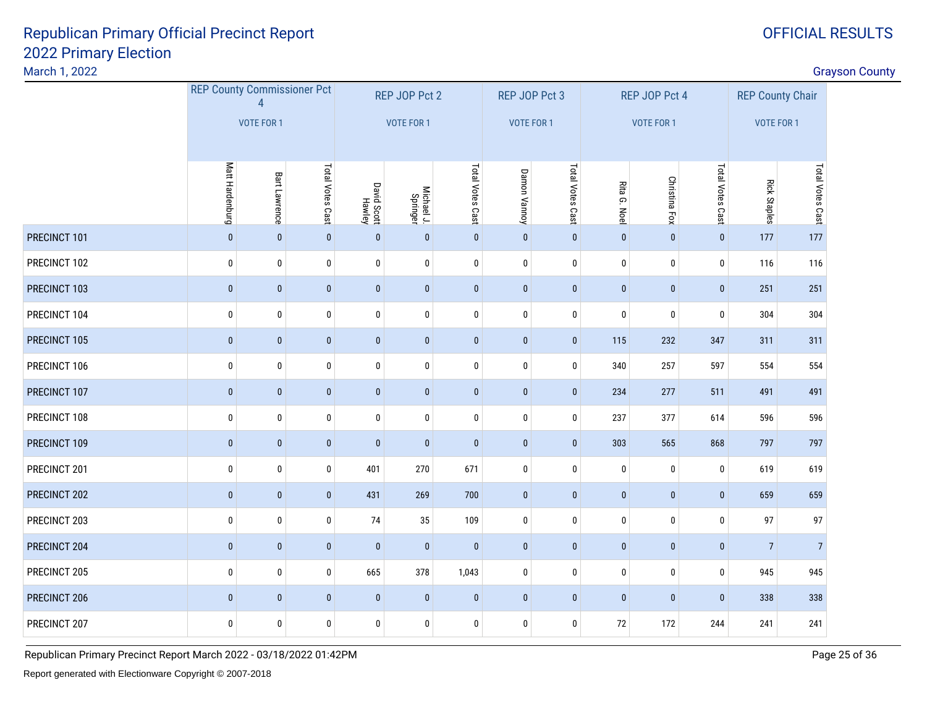#### March 1, 2022

discussion of the contract of the contract of the contract of the contract of the contract of the contract of the contract of the contract of the contract of the contract of the contract of the contract of the contract of

|              | <b>REP County Commissioner Pct</b> | $\Lambda$         |                  |                       | REP JOP Pct 2          |                  | REP JOP Pct 3     |                  |              | REP JOP Pct 4        |                  | <b>REP County Chair</b> |                  |
|--------------|------------------------------------|-------------------|------------------|-----------------------|------------------------|------------------|-------------------|------------------|--------------|----------------------|------------------|-------------------------|------------------|
|              |                                    | <b>VOTE FOR 1</b> |                  |                       | <b>VOTE FOR 1</b>      |                  | <b>VOTE FOR 1</b> |                  |              | VOTE FOR 1           |                  | VOTE FOR 1              |                  |
|              | Matt Hardenburg                    | Bart Lawrence     | Total Votes Cast | David Scott<br>Hawley | Michael J.<br>Springer | Total Votes Cast | Damon Vannoy      | Total Votes Cast | Rita G. Noel | <b>Christina Fox</b> | Total Votes Cast | <b>Rick Staples</b>     | Total Votes Cast |
|              |                                    |                   |                  |                       |                        |                  |                   |                  |              |                      |                  |                         |                  |
| PRECINCT 101 | $\pmb{0}$                          | $\pmb{0}$         | $\mathbf{0}$     | $\pmb{0}$             | $\mathbf 0$            | $\pmb{0}$        | $\pmb{0}$         | $\pmb{0}$        | $\mathbf{0}$ | $\pmb{0}$            | $\mathbf{0}$     | 177                     | 177              |
| PRECINCT 102 | $\mathbf 0$                        | 0                 | 0                | $\pmb{0}$             | $\pmb{0}$              | $\mathbf 0$      | 0                 | 0                | $\bf{0}$     | $\mathbf 0$          | $\mathbf 0$      | 116                     | 116              |
| PRECINCT 103 | $\mathbf{0}$                       | $\mathbf{0}$      | $\mathbf{0}$     | $\pmb{0}$             | $\mathbf{0}$           | $\mathbf{0}$     | $\mathbf{0}$      | $\mathbf 0$      | $\mathbf{0}$ | $\mathbf{0}$         | $\pmb{0}$        | 251                     | 251              |
| PRECINCT 104 | $\mathbf 0$                        | 0                 | $\bf{0}$         | $\bf{0}$              | $\pmb{0}$              | $\mathbf 0$      | 0                 | 0                | $\bf{0}$     | $\mathbf 0$          | $\bf{0}$         | 304                     | 304              |
| PRECINCT 105 | $\pmb{0}$                          | $\pmb{0}$         | $\mathbf{0}$     | $\pmb{0}$             | $\pmb{0}$              | $\pmb{0}$        | $\pmb{0}$         | $\pmb{0}$        | 115          | 232                  | 347              | 311                     | 311              |
| PRECINCT 106 | 0                                  | 0                 | 0                | $\pmb{0}$             | $\pmb{0}$              | $\pmb{0}$        | $\pmb{0}$         | 0                | 340          | 257                  | 597              | 554                     | 554              |
| PRECINCT 107 | $\mathbf{0}$                       | $\pmb{0}$         | $\mathbf{0}$     | $\pmb{0}$             | $\mathbf{0}$           | $\mathbf 0$      | $\pmb{0}$         | $\mathbf 0$      | 234          | 277                  | 511              | 491                     | 491              |
| PRECINCT 108 | 0                                  | 0                 | 0                | $\pmb{0}$             | $\pmb{0}$              | $\pmb{0}$        | $\pmb{0}$         | 0                | 237          | 377                  | 614              | 596                     | 596              |
| PRECINCT 109 | $\mathbf{0}$                       | $\pmb{0}$         | $\mathbf{0}$     | $\mathbf{0}$          | $\mathbf{0}$           | $\pmb{0}$        | $\pmb{0}$         | $\mathbf 0$      | 303          | 565                  | 868              | 797                     | 797              |
| PRECINCT 201 | $\pmb{0}$                          | 0                 | 0                | 401                   | 270                    | 671              | $\pmb{0}$         | 0                | $\bf{0}$     | $\bf{0}$             | $\mathbf 0$      | 619                     | 619              |
| PRECINCT 202 | $\mathbf{0}$                       | $\mathbf{0}$      | $\mathbf{0}$     | 431                   | 269                    | 700              | $\pmb{0}$         | $\mathbf 0$      | $\mathbf{0}$ | $\mathbf{0}$         | $\mathbf{0}$     | 659                     | 659              |
| PRECINCT 203 | $\pmb{0}$                          | 0                 | 0                | 74                    | 35                     | 109              | $\pmb{0}$         | 0                | $\bm{0}$     | $\bf{0}$             | $\bf{0}$         | 97                      | 97               |
| PRECINCT 204 | $\bf{0}$                           | $\pmb{0}$         | $\mathbf{0}$     | $\bf{0}$              | $\mathbf{0}$           | $\pmb{0}$        | $\pmb{0}$         | $\mathbf 0$      | $\mathbf{0}$ | $\mathbf{0}$         | $\mathbf{0}$     | $\overline{7}$          | $\overline{7}$   |
| PRECINCT 205 | $\pmb{0}$                          | 0                 | $\bf{0}$         | 665                   | 378                    | 1,043            | $\pmb{0}$         | 0                | $\pmb{0}$    | $\bf{0}$             | $\mathbf 0$      | 945                     | 945              |
| PRECINCT 206 | $\mathbf{0}$                       | $\pmb{0}$         | $\mathbf{0}$     | $\pmb{0}$             | $\mathbf{0}$           | $\pmb{0}$        | $\pmb{0}$         | $\pmb{0}$        | $\mathbf{0}$ | $\mathbf{0}$         | $\mathbf 0$      | 338                     | 338              |
| PRECINCT 207 | $\mathbf 0$                        | 0                 | $\bf{0}$         | $\bf{0}$              | $\pmb{0}$              | $\mathbf 0$      | $\pmb{0}$         | 0                | $72\,$       | 172                  | 244              | 241                     | 241              |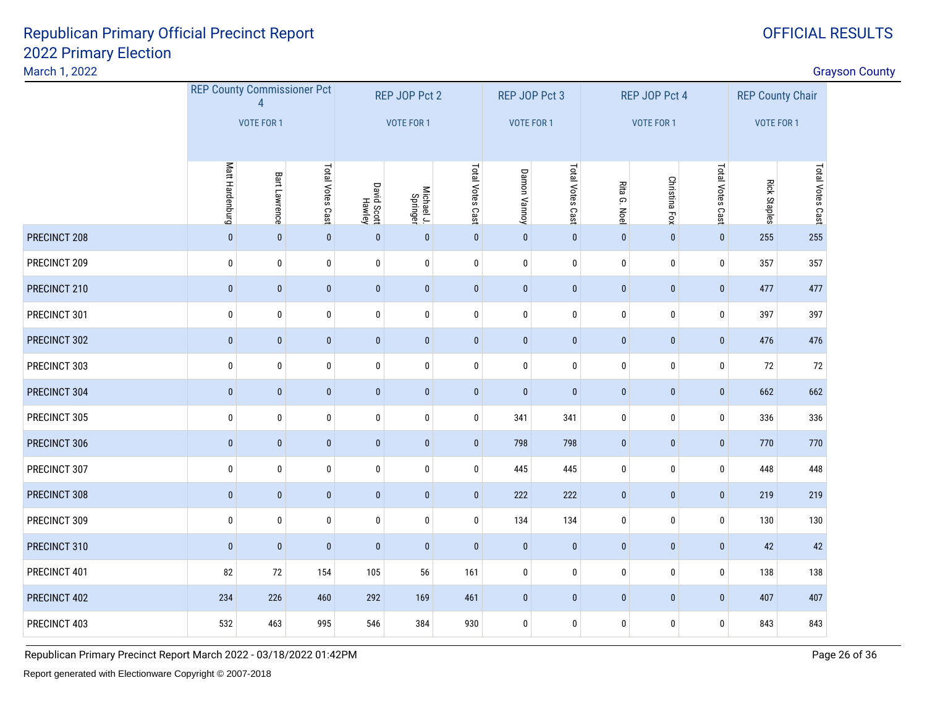#### March 1, 2022

discussion of the contract of the contract of the contract of the contract of the contract of the contract of the contract of the contract of the contract of the contract of the contract of the contract of the contract of

|              |                 | <b>REP County Commissioner Pct</b><br>$\Delta$ |                  |                       | REP JOP Pct 2          |                  | REP JOP Pct 3 |                  |              | REP JOP Pct 4        |                  | <b>REP County Chair</b> |                  |
|--------------|-----------------|------------------------------------------------|------------------|-----------------------|------------------------|------------------|---------------|------------------|--------------|----------------------|------------------|-------------------------|------------------|
|              |                 | <b>VOTE FOR 1</b>                              |                  |                       | VOTE FOR 1             |                  | VOTE FOR 1    |                  |              | <b>VOTE FOR 1</b>    |                  | <b>VOTE FOR 1</b>       |                  |
|              | Matt Hardenburg | Bart Lawrence                                  | Total Votes Cast | David Scott<br>Hawley | Michael J.<br>Springer | Total Votes Cast | Damon Vannoy  | Total Votes Cast | Rita G. Noel | <b>Christina Fox</b> | Total Votes Cast | <b>Rick Staples</b>     | Total Votes Cast |
| PRECINCT 208 | $\mathbf 0$     | $\mathbf{0}$                                   | $\mathbf 0$      | $\mathbf 0$           | $\pmb{0}$              | $\mathbf{0}$     | $\mathbf{0}$  | $\pmb{0}$        | $\mathbf{0}$ | $\mathbf{0}$         | $\mathbf 0$      | 255                     | 255              |
| PRECINCT 209 | $\mathbf 0$     | 0                                              | $\mathbf 0$      | $\pmb{0}$             | 0                      | 0                | $\bf{0}$      | $\mathbf 0$      | $\bf{0}$     | $\mathbf 0$          | $\mathbf 0$      | 357                     | 357              |
| PRECINCT 210 | $\bf{0}$        | $\mathbf{0}$                                   | $\pmb{0}$        | $\pmb{0}$             | $\bf{0}$               | $\mathbf 0$      | $\mathbf{0}$  | $\mathbf{0}$     | $\bf{0}$     | $\mathbf{0}$         | $\bf{0}$         | 477                     | 477              |
| PRECINCT 301 | 0               | 0                                              | $\pmb{0}$        | $\pmb{0}$             | $\pmb{0}$              | 0                | 0             | 0                | 0            | 0                    | 0                | 397                     | 397              |
| PRECINCT 302 | $\pmb{0}$       | $\mathbf{0}$                                   | $\mathbf{0}$     | $\pmb{0}$             | $\pmb{0}$              | $\mathbf 0$      | $\pmb{0}$     | $\bf{0}$         | $\pmb{0}$    | $\bf{0}$             | $\mathbf{0}$     | 476                     | 476              |
| PRECINCT 303 | 0               | $\bf{0}$                                       | $\pmb{0}$        | $\pmb{0}$             | $\pmb{0}$              | 0                | $\pmb{0}$     | $\bf{0}$         | $\pmb{0}$    | $\bf{0}$             | $\bf{0}$         | 72                      | 72               |
| PRECINCT 304 | $\mathbf{0}$    | $\mathbf{0}$                                   | $\pmb{0}$        | $\pmb{0}$             | $\pmb{0}$              | $\mathbf{0}$     | $\pmb{0}$     | $\mathbf{0}$     | $\pmb{0}$    | $\mathbf{0}$         | $\pmb{0}$        | 662                     | 662              |
| PRECINCT 305 | 0               | 0                                              | 0                | 0                     | 0                      | 0                | 341           | 341              | 0            | 0                    | 0                | 336                     | 336              |
| PRECINCT 306 | $\pmb{0}$       | $\mathbf{0}$                                   | $\mathbf{0}$     | $\bf{0}$              | $\pmb{0}$              | $\mathbf 0$      | 798           | 798              | $\bf{0}$     | $\mathbf{0}$         | $\bf{0}$         | 770                     | 770              |
| PRECINCT 307 | $\pmb{0}$       | 0                                              | $\pmb{0}$        | $\pmb{0}$             | $\pmb{0}$              | 0                | 445           | 445              | $\pmb{0}$    | 0                    | 0                | 448                     | 448              |
| PRECINCT 308 | $\mathbf{0}$    | $\mathbf{0}$                                   | $\mathbf{0}$     | $\pmb{0}$             | $\pmb{0}$              | $\mathbf 0$      | 222           | 222              | $\mathbf{0}$ | $\mathbf{0}$         | $\mathbf 0$      | 219                     | 219              |
| PRECINCT 309 | $\mathbf 0$     | 0                                              | $\pmb{0}$        | $\pmb{0}$             | $\pmb{0}$              | 0                | 134           | 134              | $\pmb{0}$    | $\mathbf 0$          | $\mathbf 0$      | 130                     | 130              |
| PRECINCT 310 | $\pmb{0}$       | $\mathbf{0}$                                   | $\mathbf{0}$     | $\pmb{0}$             | $\pmb{0}$              | $\mathbf 0$      | $\pmb{0}$     | $\pmb{0}$        | $\pmb{0}$    | $\mathbf{0}$         | $\bf{0}$         | 42                      | 42               |
| PRECINCT 401 | 82              | 72                                             | 154              | 105                   | 56                     | 161              | $\pmb{0}$     | $\pmb{0}$        | $\pmb{0}$    | $\bf{0}$             | $\bf{0}$         | 138                     | 138              |
| PRECINCT 402 | 234             | 226                                            | 460              | 292                   | 169                    | 461              | $\bf{0}$      | $\pmb{0}$        | $\bf{0}$     | $\mathbf{0}$         | $\mathbf 0$      | 407                     | 407              |
| PRECINCT 403 | 532             | 463                                            | 995              | 546                   | 384                    | 930              | $\bf{0}$      | $\bf{0}$         | $\bf{0}$     | $\mathbf 0$          | $\mathbf 0$      | 843                     | 843              |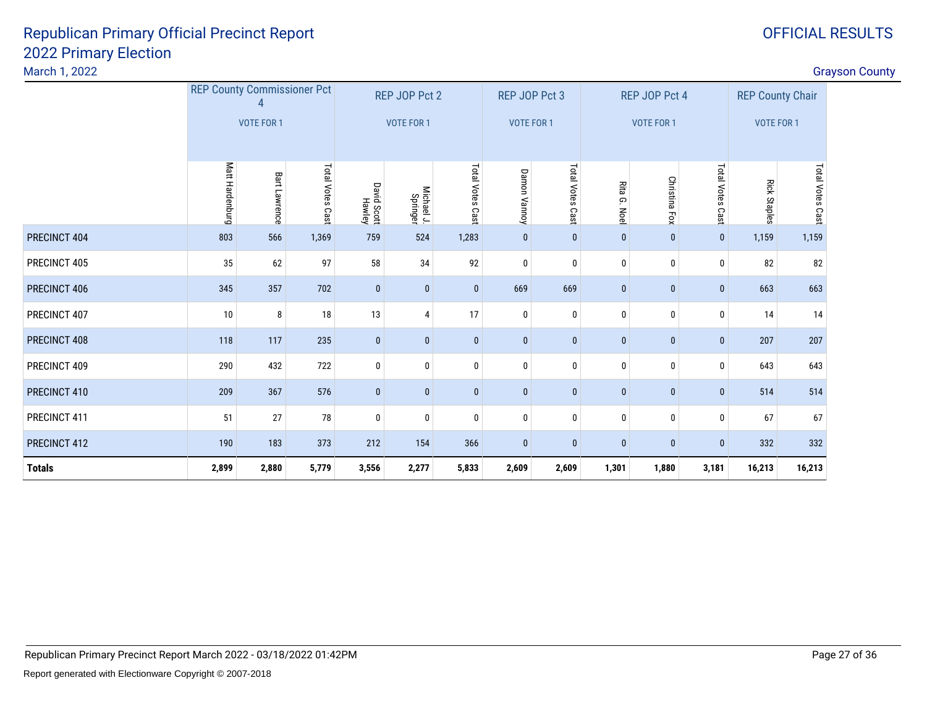#### March 1, 2022

|               | <b>REP County Commissioner Pct</b> |                  |                  |                       | REP JOP Pct 2          |                 | REP JOP Pct 3 |                  |                 | REP JOP Pct 4 |                  | <b>REP County Chair</b> |                  |
|---------------|------------------------------------|------------------|------------------|-----------------------|------------------------|-----------------|---------------|------------------|-----------------|---------------|------------------|-------------------------|------------------|
|               |                                    | VOTE FOR 1       |                  |                       | <b>VOTE FOR 1</b>      |                 | VOTE FOR 1    |                  |                 | VOTE FOR 1    |                  | <b>VOTE FOR 1</b>       |                  |
|               |                                    |                  |                  |                       |                        |                 |               |                  |                 |               |                  |                         |                  |
|               | Matt Hardenburg                    | Bart<br>Lawrence | Total Votes Cast | David Scott<br>Hawley | Michael J.<br>Springer | Total Votes Cas | Damon Vannoy  | Total Votes Cast | Rita G.<br>Noel | Christina Fox | Total Votes Cast | <b>Rick Staples</b>     | Total Votes Cast |
| PRECINCT 404  | 803                                | 566              | 1,369            | 759                   | 524                    | 1,283           | $\bf{0}$      | $\mathbf{0}$     | $\mathbf 0$     | $\mathbf{0}$  | $\mathbf{0}$     | 1,159                   | 1,159            |
| PRECINCT 405  | 35                                 | 62               | 97               | 58                    | 34                     | 92              | $\bf{0}$      | $\pmb{0}$        | $\mathbf 0$     | $\pmb{0}$     | 0                | 82                      | 82               |
| PRECINCT 406  | 345                                | 357              | 702              | $\bf{0}$              | $\mathbf{0}$           | $\mathbf{0}$    | 669           | 669              | $\bf{0}$        | $\bf{0}$      | $\mathbf{0}$     | 663                     | 663              |
| PRECINCT 407  | 10                                 | 8                | 18               | 13                    | 4                      | 17              | 0             | $\mathbf 0$      | $\mathbf 0$     | $\bf{0}$      | 0                | 14                      | 14               |
| PRECINCT 408  | 118                                | 117              | 235              | $\bf{0}$              | $\mathbf{0}$           | $\mathbf{0}$    | $\pmb{0}$     | $\bf{0}$         | $\bf{0}$        | $\mathbf{0}$  | $\mathbf{0}$     | 207                     | 207              |
| PRECINCT 409  | 290                                | 432              | 722              | $\bf{0}$              | 0                      | $\mathbf 0$     | $\bf{0}$      | $\mathbf 0$      | $\mathbf{0}$    | $\pmb{0}$     | $\mathbf 0$      | 643                     | 643              |
| PRECINCT 410  | 209                                | 367              | 576              | $\mathbf{0}$          | $\mathbf{0}$           | $\bf{0}$        | $\mathbf{0}$  | $\mathbf{0}$     | $\mathbf{0}$    | $\mathbf{0}$  | $\mathbf{0}$     | 514                     | 514              |
| PRECINCT 411  | 51                                 | 27               | 78               | $\pmb{0}$             | $\mathbf 0$            | $\pmb{0}$       | $\bf{0}$      | $\pmb{0}$        | $\mathbf{0}$    | $\mathbf 0$   | $\mathbf 0$      | 67                      | 67               |
| PRECINCT 412  | 190                                | 183              | 373              | 212                   | 154                    | 366             | $\bf{0}$      | $\pmb{0}$        | $\bf{0}$        | $\bf{0}$      | $\mathbf{0}$     | 332                     | 332              |
| <b>Totals</b> | 2,899                              | 2,880            | 5,779            | 3,556                 | 2,277                  | 5,833           | 2,609         | 2,609            | 1,301           | 1,880         | 3,181            | 16,213                  | 16,213           |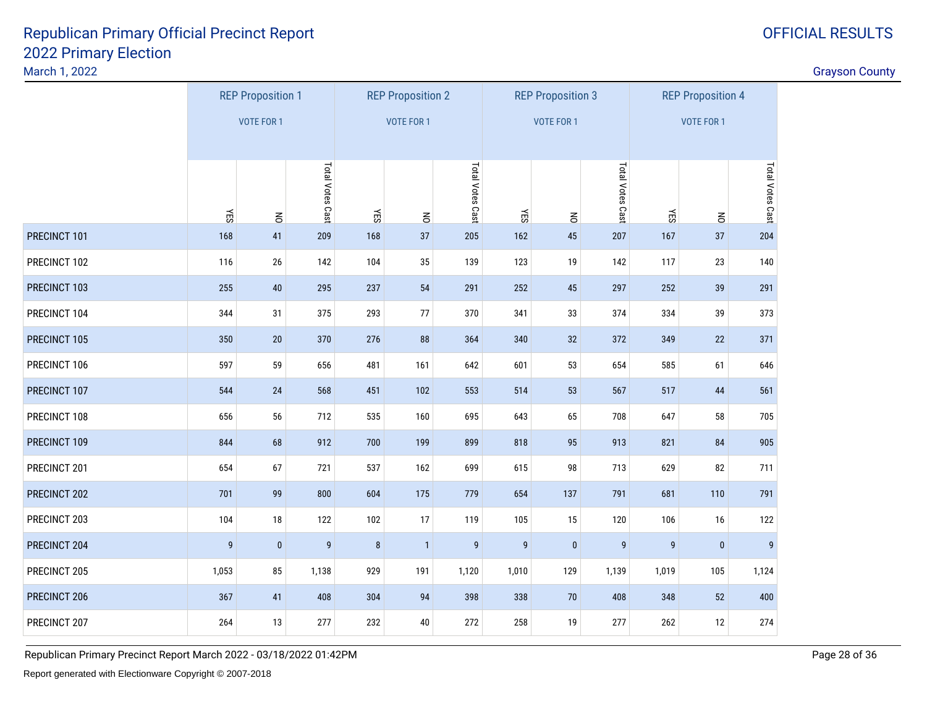March 1, 2022

|              | <b>REP Proposition 1</b> |                   |                  |     | <b>REP Proposition 2</b> |                  |                  | <b>REP Proposition 3</b> |                  |                  | <b>REP Proposition 4</b> |                  |
|--------------|--------------------------|-------------------|------------------|-----|--------------------------|------------------|------------------|--------------------------|------------------|------------------|--------------------------|------------------|
|              |                          | <b>VOTE FOR 1</b> |                  |     | <b>VOTE FOR 1</b>        |                  |                  | <b>VOTE FOR 1</b>        |                  |                  | <b>VOTE FOR 1</b>        |                  |
|              |                          |                   |                  |     |                          |                  |                  |                          |                  |                  |                          |                  |
|              | ΚĒ                       |                   | Total Votes Cast | ΥES |                          | Total Votes Cast | YES              |                          | Total Votes Cast | ΚES              |                          | Total Votes Cast |
| PRECINCT 101 | 168                      | $\leq$<br>41      | 209              | 168 | $\leq$<br>37             | 205              | 162              | $\leq$<br>45             | 207              | 167              | $\overline{6}$<br>37     | 204              |
| PRECINCT 102 | 116                      | $26\,$            | 142              | 104 | 35                       | 139              | 123              | 19                       | 142              | 117              | 23                       | 140              |
| PRECINCT 103 | 255                      | $40\,$            | 295              | 237 | 54                       | 291              | 252              | $\bf 45$                 | 297              | 252              | 39                       | 291              |
| PRECINCT 104 | 344                      | 31                | 375              | 293 | 77                       | 370              | 341              | 33                       | 374              | 334              | 39                       | 373              |
| PRECINCT 105 | 350                      | 20                | 370              | 276 | 88                       | 364              | 340              | 32                       | 372              | 349              | 22                       | 371              |
| PRECINCT 106 | 597                      | 59                | 656              | 481 | 161                      | 642              | 601              | 53                       | 654              | 585              | 61                       | 646              |
| PRECINCT 107 | 544                      | $24$              | 568              | 451 | 102                      | 553              | 514              | 53                       | 567              | 517              | 44                       | 561              |
| PRECINCT 108 | 656                      | 56                | 712              | 535 | 160                      | 695              | 643              | 65                       | 708              | 647              | 58                       | 705              |
| PRECINCT 109 | 844                      | 68                | 912              | 700 | 199                      | 899              | 818              | 95                       | 913              | 821              | 84                       | 905              |
| PRECINCT 201 | 654                      | 67                | 721              | 537 | 162                      | 699              | 615              | 98                       | 713              | 629              | 82                       | 711              |
| PRECINCT 202 | 701                      | 99                | 800              | 604 | 175                      | 779              | 654              | 137                      | 791              | 681              | 110                      | 791              |
| PRECINCT 203 | 104                      | 18                | 122              | 102 | 17                       | 119              | 105              | 15                       | 120              | 106              | 16                       | 122              |
| PRECINCT 204 | $\boldsymbol{9}$         | $\pmb{0}$         | $\boldsymbol{9}$ | 8   | $\mathbf{1}$             | $\boldsymbol{9}$ | $\boldsymbol{9}$ | $\mathbf 0$              | $\boldsymbol{9}$ | $\boldsymbol{9}$ | $\bf{0}$                 | 9                |
| PRECINCT 205 | 1,053                    | 85                | 1,138            | 929 | 191                      | 1,120            | 1,010            | 129                      | 1,139            | 1,019            | 105                      | 1,124            |
| PRECINCT 206 | 367                      | 41                | 408              | 304 | 94                       | 398              | 338              | $70\,$                   | 408              | 348              | 52                       | 400              |
| PRECINCT 207 | 264                      | 13                | 277              | 232 | $40\,$                   | 272              | 258              | 19                       | 277              | 262              | 12                       | 274              |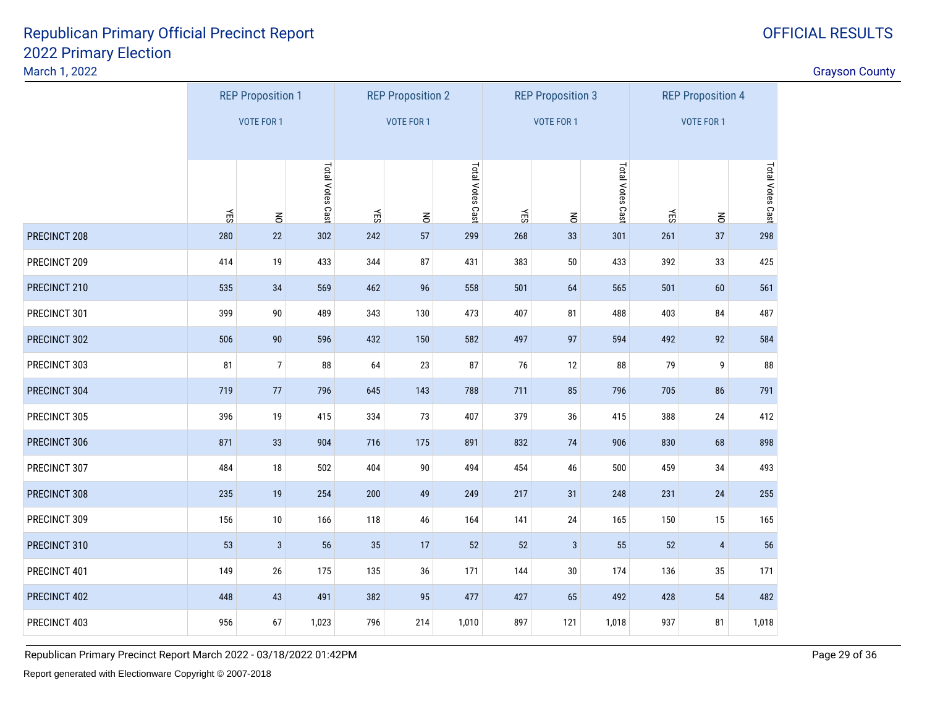March 1, 2022

|              |     | <b>REP Proposition 1</b> |                  |     | <b>REP Proposition 2</b> |                  |            | <b>REP Proposition 3</b> |                  |     | <b>REP Proposition 4</b> |                  |
|--------------|-----|--------------------------|------------------|-----|--------------------------|------------------|------------|--------------------------|------------------|-----|--------------------------|------------------|
|              |     | <b>VOTE FOR 1</b>        |                  |     | <b>VOTE FOR 1</b>        |                  |            | <b>VOTE FOR 1</b>        |                  |     | VOTE FOR 1               |                  |
|              |     |                          |                  |     |                          |                  |            |                          |                  |     |                          |                  |
|              |     |                          | Total Votes Cast |     |                          | Total Votes Cast |            |                          | Total Votes Cast |     |                          | Total Votes Cast |
|              | ΚĒ  | $\leq$                   |                  | YES | $\leq$                   |                  | <b>NES</b> | $\leq$                   |                  | YES | $\leq$                   |                  |
| PRECINCT 208 | 280 | 22                       | 302              | 242 | 57                       | 299              | 268        | 33                       | 301              | 261 | 37                       | 298              |
| PRECINCT 209 | 414 | 19                       | 433              | 344 | 87                       | 431              | 383        | $50\,$                   | 433              | 392 | 33                       | 425              |
| PRECINCT 210 | 535 | 34                       | 569              | 462 | 96                       | 558              | 501        | 64                       | 565              | 501 | 60                       | 561              |
| PRECINCT 301 | 399 | $90\,$                   | 489              | 343 | 130                      | 473              | 407        | 81                       | 488              | 403 | 84                       | 487              |
| PRECINCT 302 | 506 | $90\,$                   | 596              | 432 | 150                      | 582              | 497        | 97                       | 594              | 492 | 92                       | 584              |
| PRECINCT 303 | 81  | $\overline{7}$           | 88               | 64  | 23                       | 87               | 76         | $12\,$                   | 88               | 79  | 9                        | 88               |
| PRECINCT 304 | 719 | $77$                     | 796              | 645 | 143                      | 788              | 711        | 85                       | 796              | 705 | 86                       | 791              |
| PRECINCT 305 | 396 | 19                       | 415              | 334 | 73                       | 407              | 379        | 36                       | 415              | 388 | 24                       | 412              |
| PRECINCT 306 | 871 | 33                       | 904              | 716 | 175                      | 891              | 832        | 74                       | 906              | 830 | 68                       | 898              |
| PRECINCT 307 | 484 | 18                       | 502              | 404 | 90                       | 494              | 454        | 46                       | 500              | 459 | $34\,$                   | 493              |
| PRECINCT 308 | 235 | 19                       | 254              | 200 | 49                       | 249              | 217        | 31                       | 248              | 231 | 24                       | 255              |
| PRECINCT 309 | 156 | $10$                     | 166              | 118 | 46                       | 164              | 141        | 24                       | 165              | 150 | 15                       | 165              |
| PRECINCT 310 | 53  | $\mathbf{3}$             | 56               | 35  | 17                       | 52               | 52         | 3                        | 55               | 52  | $\overline{4}$           | 56               |
| PRECINCT 401 | 149 | 26                       | 175              | 135 | 36                       | 171              | 144        | 30                       | 174              | 136 | 35                       | 171              |
| PRECINCT 402 | 448 | 43                       | 491              | 382 | 95                       | 477              | 427        | 65                       | 492              | 428 | 54                       | 482              |
| PRECINCT 403 | 956 | 67                       | 1,023            | 796 | 214                      | 1,010            | 897        | 121                      | 1,018            | 937 | 81                       | 1,018            |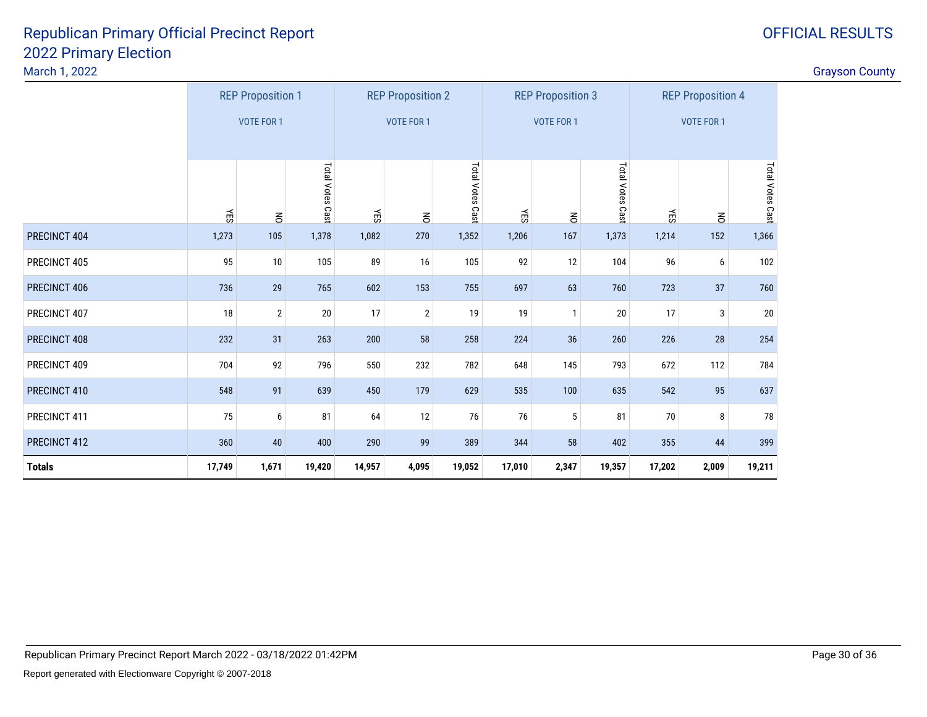| Grayson County |
|----------------|
|----------------|

|               |        | <b>REP Proposition 1</b> |                  |        | <b>REP Proposition 2</b> |                  |        | <b>REP Proposition 3</b> |                  |        | <b>REP Proposition 4</b> |                  |
|---------------|--------|--------------------------|------------------|--------|--------------------------|------------------|--------|--------------------------|------------------|--------|--------------------------|------------------|
|               |        | <b>VOTE FOR 1</b>        |                  |        | <b>VOTE FOR 1</b>        |                  |        | <b>VOTE FOR 1</b>        |                  |        | <b>VOTE FOR 1</b>        |                  |
|               |        |                          |                  |        |                          |                  |        |                          |                  |        |                          |                  |
|               | ÆS     | $\overline{6}$           | Total Votes Cast | ÆS     | $\overline{6}$           | Total Votes Cast | ΚĒ     | $\leq$                   | Total Votes Cast | ÆS     | $\overline{6}$           | Total Votes Cast |
| PRECINCT 404  | 1,273  | 105                      | 1,378            | 1,082  | 270                      | 1,352            | 1,206  | 167                      | 1,373            | 1,214  | 152                      | 1,366            |
| PRECINCT 405  | 95     | 10                       | 105              | 89     | 16                       | 105              | 92     | 12                       | 104              | 96     | 6                        | 102              |
| PRECINCT 406  | 736    | 29                       | 765              | 602    | 153                      | 755              | 697    | 63                       | 760              | 723    | 37                       | 760              |
| PRECINCT 407  | 18     | $\overline{2}$           | $20\,$           | 17     | $\overline{2}$           | 19               | 19     | $\mathbf{1}$             | 20               | 17     | 3                        | 20               |
| PRECINCT 408  | 232    | 31                       | 263              | 200    | 58                       | 258              | 224    | 36                       | 260              | 226    | 28                       | 254              |
| PRECINCT 409  | 704    | 92                       | 796              | 550    | 232                      | 782              | 648    | 145                      | 793              | 672    | 112                      | 784              |
| PRECINCT 410  | 548    | 91                       | 639              | 450    | 179                      | 629              | 535    | 100                      | 635              | 542    | 95                       | 637              |
| PRECINCT 411  | 75     | 6                        | 81               | 64     | $12\,$                   | 76               | 76     | 5                        | 81               | $70\,$ | 8                        | 78               |
| PRECINCT 412  | 360    | 40                       | 400              | 290    | 99                       | 389              | 344    | 58                       | 402              | 355    | 44                       | 399              |
| <b>Totals</b> | 17,749 | 1,671                    | 19,420           | 14,957 | 4,095                    | 19,052           | 17,010 | 2,347                    | 19,357           | 17,202 | 2,009                    | 19,211           |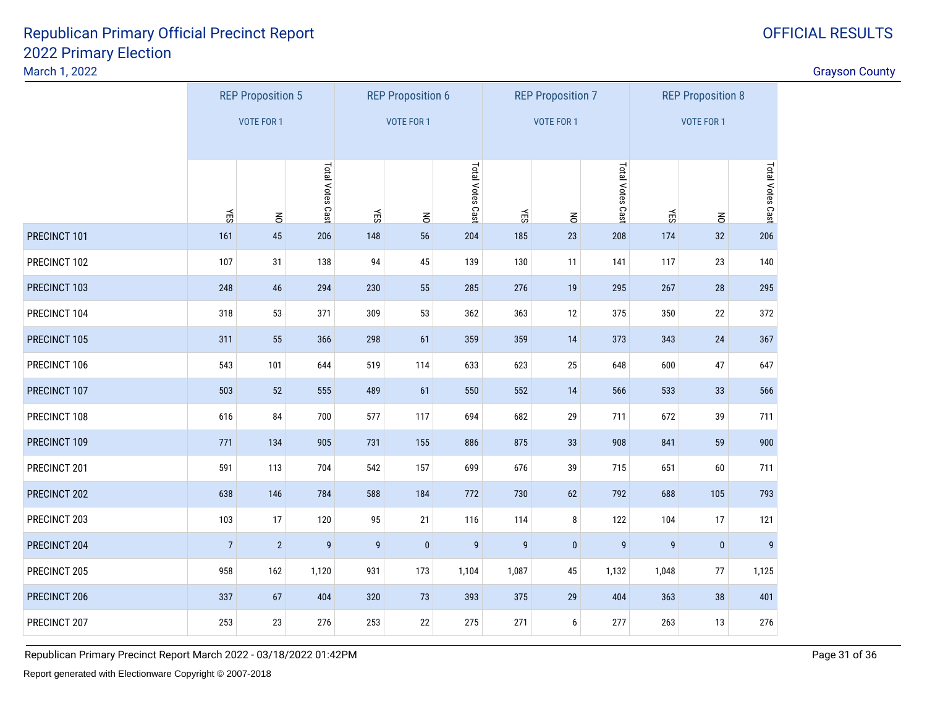March 1, 2022

discussion of the contract of the contract of the contract of the contract of the contract of the contract of the contract of the contract of the contract of the contract of the contract of the contract of the contract of

|              |                   | <b>REP Proposition 5</b> |                  |              | <b>REP Proposition 6</b> |                  |                  | <b>REP Proposition 7</b> |                  |           | <b>REP Proposition 8</b> |                  |
|--------------|-------------------|--------------------------|------------------|--------------|--------------------------|------------------|------------------|--------------------------|------------------|-----------|--------------------------|------------------|
|              |                   | <b>VOTE FOR 1</b>        |                  |              | <b>VOTE FOR 1</b>        |                  |                  | <b>VOTE FOR 1</b>        |                  |           | VOTE FOR 1               |                  |
|              |                   |                          |                  |              |                          |                  |                  |                          |                  |           |                          |                  |
|              |                   |                          | Total Votes Cast |              |                          | Total Votes Cast |                  |                          | Total Votes Cast |           |                          | Total Votes Cast |
| PRECINCT 101 | <b>NES</b><br>161 | $\mathsf{S}% _{T}$<br>45 | 206              | ΚĒ<br>148    | $\mathsf{S}% _{T}$<br>56 | 204              | ΥES<br>185       | $\leq$<br>23             | 208              | ΚĒ<br>174 | $\leq$<br>32             | 206              |
| PRECINCT 102 | 107               | 31                       | 138              | 94           | 45                       | 139              | 130              | 11                       | 141              | 117       | 23                       | 140              |
| PRECINCT 103 | 248               | 46                       | 294              | 230          | 55                       | 285              | 276              | 19                       | 295              | 267       | 28                       | 295              |
|              |                   |                          |                  |              |                          |                  |                  |                          |                  |           |                          |                  |
| PRECINCT 104 | 318               | 53                       | 371              | 309          | 53                       | 362              | 363              | 12                       | 375              | 350       | 22                       | 372              |
| PRECINCT 105 | 311               | 55                       | 366              | 298          | 61                       | 359              | 359              | 14                       | 373              | 343       | $24\,$                   | 367              |
| PRECINCT 106 | 543               | 101                      | 644              | 519          | 114                      | 633              | 623              | 25                       | 648              | 600       | 47                       | 647              |
| PRECINCT 107 | 503               | 52                       | 555              | 489          | 61                       | 550              | 552              | 14                       | 566              | 533       | 33                       | 566              |
| PRECINCT 108 | 616               | 84                       | 700              | 577          | 117                      | 694              | 682              | 29                       | 711              | 672       | 39                       | 711              |
| PRECINCT 109 | 771               | 134                      | 905              | 731          | 155                      | 886              | 875              | $33\,$                   | 908              | 841       | 59                       | 900              |
| PRECINCT 201 | 591               | 113                      | 704              | 542          | 157                      | 699              | 676              | 39                       | 715              | 651       | 60                       | 711              |
| PRECINCT 202 | 638               | 146                      | 784              | 588          | 184                      | 772              | 730              | 62                       | 792              | 688       | 105                      | 793              |
| PRECINCT 203 | 103               | 17                       | 120              | 95           | 21                       | 116              | 114              | 8                        | 122              | 104       | 17                       | 121              |
| PRECINCT 204 | $\overline{7}$    | $\overline{2}$           | 9                | $\mathsf{g}$ | $\mathbf{0}$             | $\boldsymbol{9}$ | $\boldsymbol{9}$ | $\pmb{0}$                | 9                | 9         | $\pmb{0}$                | 9                |
| PRECINCT 205 | 958               | 162                      | 1,120            | 931          | 173                      | 1,104            | 1,087            | 45                       | 1,132            | 1,048     | $77\,$                   | 1,125            |
| PRECINCT 206 | 337               | 67                       | 404              | 320          | 73                       | 393              | 375              | 29                       | 404              | 363       | 38                       | 401              |
| PRECINCT 207 | 253               | 23                       | 276              | 253          | 22                       | 275              | 271              | 6                        | 277              | 263       | 13                       | 276              |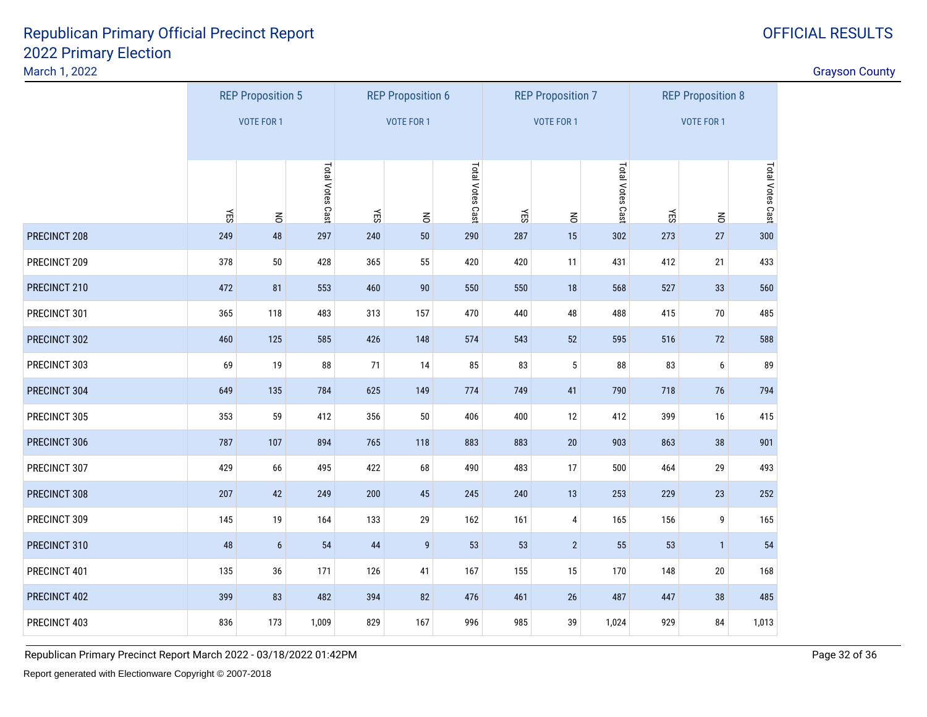March 1, 2022

discussion of the contract of the contract of the contract of the contract of the contract of the contract of the contract of the contract of the contract of the contract of the contract of the contract of the contract of

|              |     | <b>REP Proposition 5</b> |                  |     | <b>REP Proposition 6</b> |                  |     | <b>REP Proposition 7</b> |                  |            | <b>REP Proposition 8</b> |                  |
|--------------|-----|--------------------------|------------------|-----|--------------------------|------------------|-----|--------------------------|------------------|------------|--------------------------|------------------|
|              |     | <b>VOTE FOR 1</b>        |                  |     | <b>VOTE FOR 1</b>        |                  |     | <b>VOTE FOR 1</b>        |                  |            | <b>VOTE FOR 1</b>        |                  |
|              |     |                          |                  |     |                          |                  |     |                          |                  |            |                          |                  |
|              |     |                          | Total Votes Cast |     |                          | Total Votes Cast |     |                          | Total Votes Cast |            |                          | Total Votes Cast |
|              | YES | $\leq$                   |                  | YES | $\leq$                   |                  | YES | $\leq$                   |                  | <b>NES</b> | $\leq$                   |                  |
| PRECINCT 208 | 249 | 48                       | 297              | 240 | 50                       | 290              | 287 | $15\,$                   | 302              | 273        | 27                       | 300              |
| PRECINCT 209 | 378 | 50                       | 428              | 365 | 55                       | 420              | 420 | 11                       | 431              | 412        | 21                       | 433              |
| PRECINCT 210 | 472 | 81                       | 553              | 460 | 90                       | 550              | 550 | $18$                     | 568              | 527        | 33                       | 560              |
| PRECINCT 301 | 365 | 118                      | 483              | 313 | 157                      | 470              | 440 | 48                       | 488              | 415        | $70\,$                   | 485              |
| PRECINCT 302 | 460 | 125                      | 585              | 426 | 148                      | 574              | 543 | 52                       | 595              | 516        | 72                       | 588              |
| PRECINCT 303 | 69  | 19                       | 88               | 71  | 14                       | 85               | 83  | $\mathbf 5$              | 88               | 83         | $\boldsymbol{6}$         | 89               |
| PRECINCT 304 | 649 | 135                      | 784              | 625 | 149                      | 774              | 749 | 41                       | 790              | 718        | 76                       | 794              |
| PRECINCT 305 | 353 | 59                       | 412              | 356 | 50                       | 406              | 400 | 12                       | 412              | 399        | 16                       | 415              |
| PRECINCT 306 | 787 | 107                      | 894              | 765 | 118                      | 883              | 883 | $20\,$                   | 903              | 863        | 38                       | 901              |
| PRECINCT 307 | 429 | 66                       | 495              | 422 | 68                       | 490              | 483 | $17\,$                   | 500              | 464        | 29                       | 493              |
| PRECINCT 308 | 207 | 42                       | 249              | 200 | 45                       | 245              | 240 | 13                       | 253              | 229        | 23                       | 252              |
| PRECINCT 309 | 145 | 19                       | 164              | 133 | 29                       | 162              | 161 | 4                        | 165              | 156        | 9                        | 165              |
| PRECINCT 310 | 48  | $\boldsymbol{6}$         | 54               | 44  | $\boldsymbol{9}$         | 53               | 53  | $\overline{2}$           | 55               | 53         | $\mathbf{1}$             | 54               |
| PRECINCT 401 | 135 | 36                       | 171              | 126 | 41                       | 167              | 155 | $15\,$                   | 170              | 148        | 20                       | 168              |
| PRECINCT 402 | 399 | 83                       | 482              | 394 | 82                       | 476              | 461 | $26\,$                   | 487              | 447        | 38                       | 485              |
| PRECINCT 403 | 836 | 173                      | 1,009            | 829 | 167                      | 996              | 985 | 39                       | 1,024            | 929        | 84                       | 1,013            |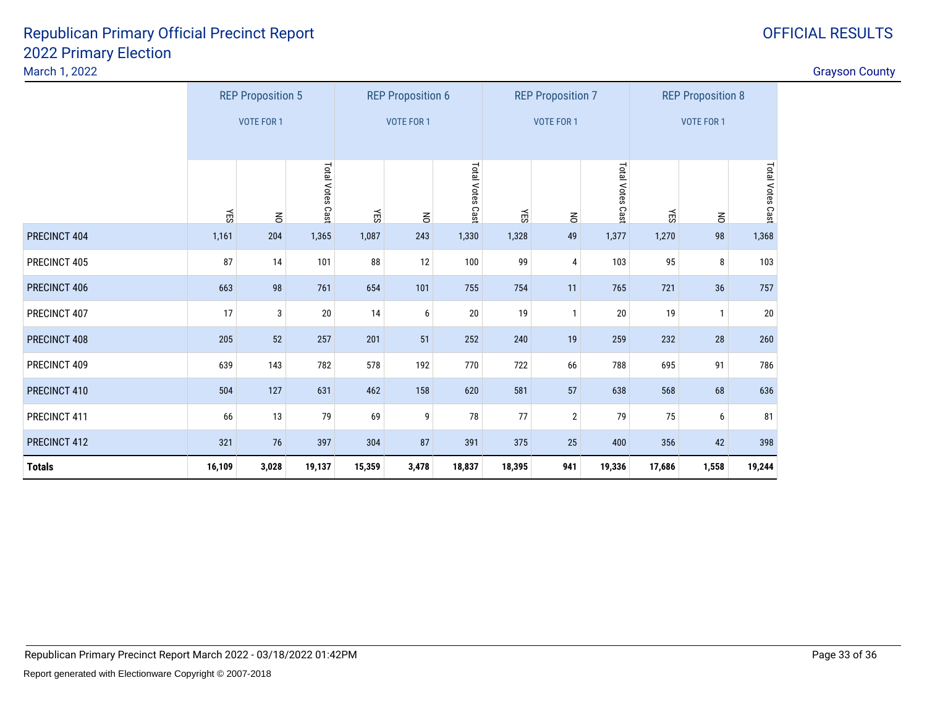| <b>Grayson County</b> |
|-----------------------|
|-----------------------|

|               |                   | <b>REP Proposition 5</b> |                  |                   | <b>REP Proposition 6</b> |                   |        | <b>REP Proposition 7</b> |                   | <b>REP Proposition 8</b> |                |                  |
|---------------|-------------------|--------------------------|------------------|-------------------|--------------------------|-------------------|--------|--------------------------|-------------------|--------------------------|----------------|------------------|
|               | <b>VOTE FOR 1</b> |                          |                  | <b>VOTE FOR 1</b> |                          | <b>VOTE FOR 1</b> |        |                          | <b>VOTE FOR 1</b> |                          |                |                  |
|               |                   |                          |                  |                   |                          |                   |        |                          |                   |                          |                |                  |
|               | ΚES               | $\overline{6}$           | Total Votes Cast | ΚES               | $\overline{6}$           | Total Votes Cast  | ΚĒ     | $\leq$                   | Total Votes Cast  | ÆS                       | $\overline{6}$ | Total Votes Cast |
| PRECINCT 404  | 1,161             | 204                      | 1,365            | 1,087             | 243                      | 1,330             | 1,328  | 49                       | 1,377             | 1,270                    | 98             | 1,368            |
| PRECINCT 405  | 87                | 14                       | 101              | 88                | 12                       | 100               | 99     | 4                        | 103               | 95                       | 8              | 103              |
| PRECINCT 406  | 663               | 98                       | 761              | 654               | 101                      | 755               | 754    | 11                       | 765               | 721                      | 36             | 757              |
| PRECINCT 407  | 17                | 3                        | 20               | 14                | 6                        | $20\,$            | 19     | $\mathbf{1}$             | 20                | 19                       | $\mathbf{1}$   | 20               |
| PRECINCT 408  | 205               | 52                       | 257              | 201               | 51                       | 252               | 240    | 19                       | 259               | 232                      | 28             | 260              |
| PRECINCT 409  | 639               | 143                      | 782              | 578               | 192                      | 770               | 722    | 66                       | 788               | 695                      | 91             | 786              |
| PRECINCT 410  | 504               | 127                      | 631              | 462               | 158                      | 620               | 581    | 57                       | 638               | 568                      | 68             | 636              |
| PRECINCT 411  | 66                | 13                       | 79               | 69                | 9                        | 78                | 77     | $\overline{2}$           | 79                | 75                       | 6              | 81               |
| PRECINCT 412  | 321               | 76                       | 397              | 304               | 87                       | 391               | 375    | $25\,$                   | 400               | 356                      | 42             | 398              |
| <b>Totals</b> | 16,109            | 3,028                    | 19,137           | 15,359            | 3,478                    | 18,837            | 18,395 | 941                      | 19,336            | 17,686                   | 1,558          | 19,244           |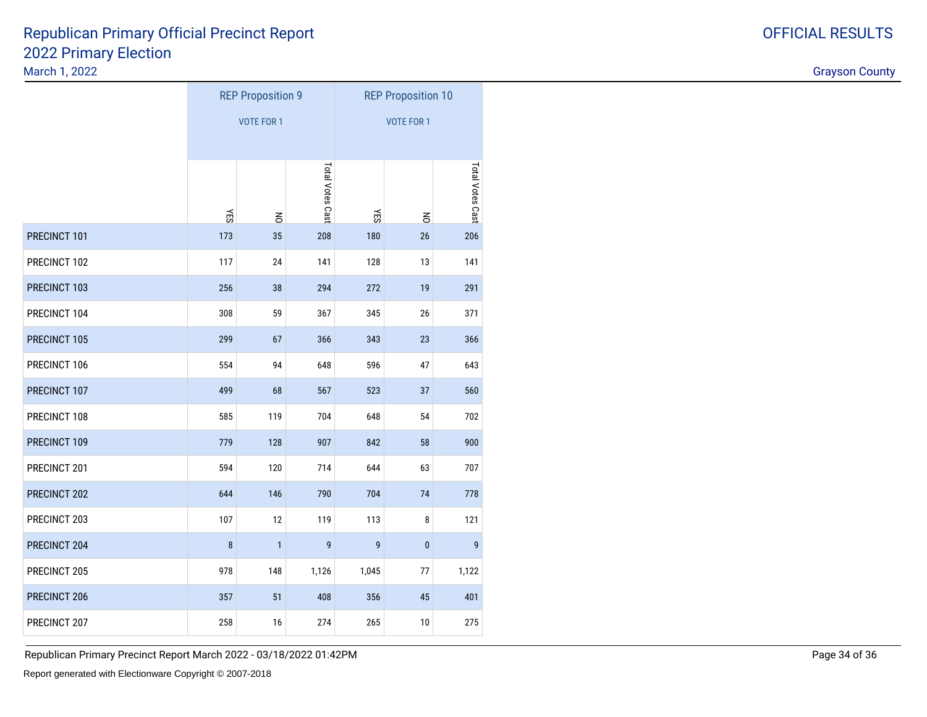March 1, 2022

|              |     | <b>REP Proposition 9</b> |                  | <b>REP Proposition 10</b> |           |                  |  |
|--------------|-----|--------------------------|------------------|---------------------------|-----------|------------------|--|
|              |     | <b>VOTE FOR 1</b>        |                  | <b>VOTE FOR 1</b>         |           |                  |  |
|              | ĞБ  | $\mathsf{K}$             | Total Votes Cast | ΨĘ                        | $\leq$    | Total Votes Cast |  |
| PRECINCT 101 | 173 | 35                       | 208              | 180                       | $26\,$    | 206              |  |
| PRECINCT 102 | 117 | 24                       | 141              | 128                       | 13        | 141              |  |
| PRECINCT 103 | 256 | 38                       | 294              | 272                       | 19        | 291              |  |
| PRECINCT 104 | 308 | 59                       | 367              | 345                       | 26        | 371              |  |
| PRECINCT 105 | 299 | 67                       | 366              | 343                       | 23        | 366              |  |
| PRECINCT 106 | 554 | 94                       | 648              | 596                       | 47        | 643              |  |
| PRECINCT 107 | 499 | 68                       | 567              | 523                       | 37        | 560              |  |
| PRECINCT 108 | 585 | 119                      | 704              | 648                       | 54        | 702              |  |
| PRECINCT 109 | 779 | 128                      | 907              | 842                       | 58        | 900              |  |
| PRECINCT 201 | 594 | 120                      | 714              | 644                       | 63        | 707              |  |
| PRECINCT 202 | 644 | 146                      | 790              | 704                       | 74        | 778              |  |
| PRECINCT 203 | 107 | 12                       | 119              | 113                       | 8         | 121              |  |
| PRECINCT 204 | 8   | 1                        | $\boldsymbol{9}$ | 9                         | $\pmb{0}$ | 9                |  |
| PRECINCT 205 | 978 | 148                      | 1,126            | 1,045                     | 77        | 1,122            |  |
| PRECINCT 206 | 357 | 51                       | 408              | 356                       | 45        | 401              |  |
| PRECINCT 207 | 258 | 16                       | 274              | 265                       | 10        | 275              |  |

Republican Primary Precinct Report March 2022 - 03/18/2022 01:42PM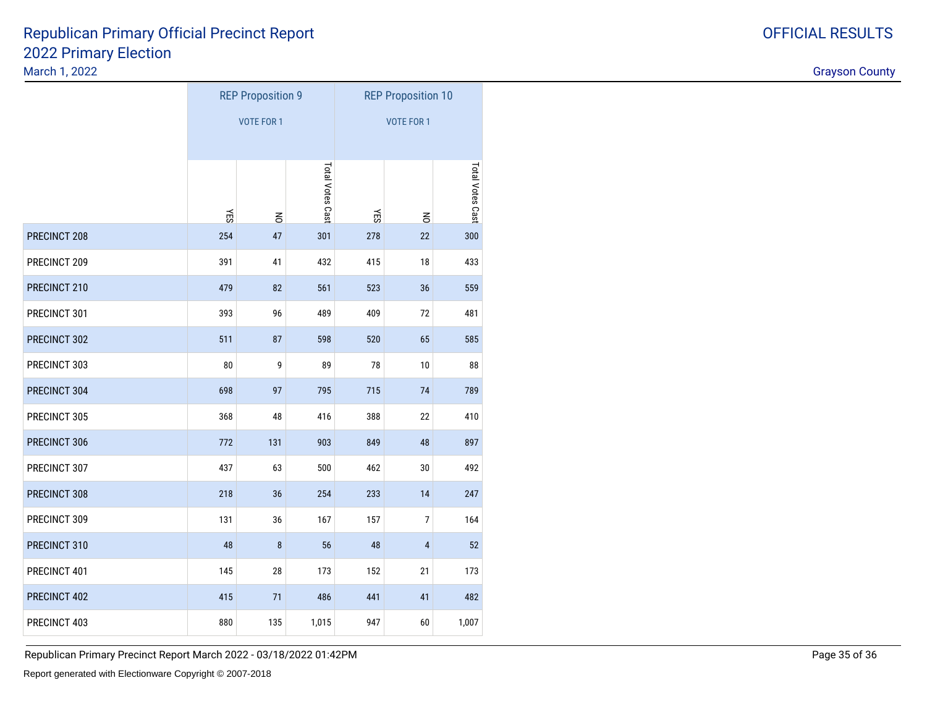March 1, 2022

|              |     | <b>REP Proposition 9</b> |                  | <b>REP Proposition 10</b> |                |                  |  |
|--------------|-----|--------------------------|------------------|---------------------------|----------------|------------------|--|
|              |     | <b>VOTE FOR 1</b>        |                  | <b>VOTE FOR 1</b>         |                |                  |  |
|              |     |                          |                  |                           |                |                  |  |
|              | ΥES | $\leq$                   | Total Votes Cast | ΚĒ                        | $\leq$         | Total Votes Cast |  |
| PRECINCT 208 | 254 | 47                       | 301              | 278                       | 22             | 300              |  |
| PRECINCT 209 | 391 | 41                       | 432              | 415                       | 18             | 433              |  |
| PRECINCT 210 | 479 | 82                       | 561              | 523                       | 36             | 559              |  |
| PRECINCT 301 | 393 | 96                       | 489              | 409                       | 72             | 481              |  |
| PRECINCT 302 | 511 | 87                       | 598              | 520                       | 65             | 585              |  |
| PRECINCT 303 | 80  | 9                        | 89               | 78                        | 10             | 88               |  |
| PRECINCT 304 | 698 | 97                       | 795              | 715                       | 74             | 789              |  |
| PRECINCT 305 | 368 | 48                       | 416              | 388                       | 22             | 410              |  |
| PRECINCT 306 | 772 | 131                      | 903              | 849                       | 48             | 897              |  |
| PRECINCT 307 | 437 | 63                       | 500              | 462                       | $30\,$         | 492              |  |
| PRECINCT 308 | 218 | 36                       | 254              | 233                       | 14             | 247              |  |
| PRECINCT 309 | 131 | 36                       | 167              | 157                       | $\overline{7}$ | 164              |  |
| PRECINCT 310 | 48  | $\bf 8$                  | 56               | 48                        | $\overline{4}$ | 52               |  |
| PRECINCT 401 | 145 | 28                       | 173              | 152                       | 21             | 173              |  |
| PRECINCT 402 | 415 | 71                       | 486              | 441                       | 41             | 482              |  |
| PRECINCT 403 | 880 | 135                      | 1,015            | 947                       | 60             | 1,007            |  |